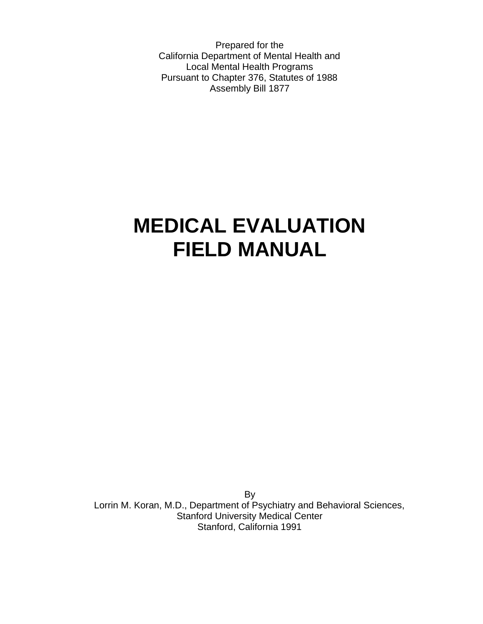Prepared for the California Department of Mental Health and Local Mental Health Programs Pursuant to Chapter 376, Statutes of 1988 Assembly Bill 1877

# **MEDICAL EVALUATION FIELD MANUAL**

By Lorrin M. Koran, M.D., Department of Psychiatry and Behavioral Sciences, Stanford University Medical Center Stanford, California 1991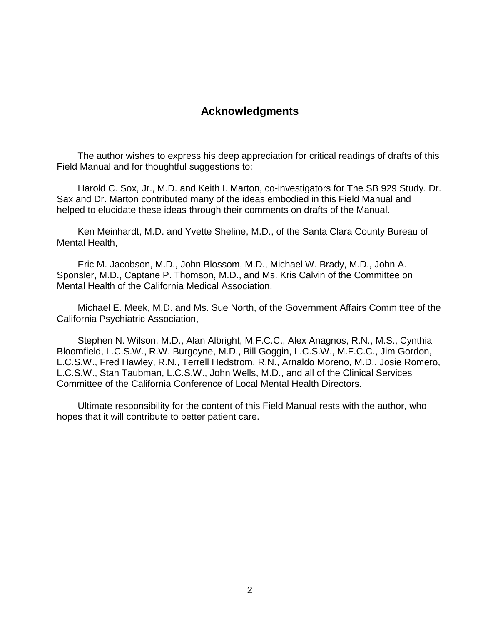## **Acknowledgments**

 The author wishes to express his deep appreciation for critical readings of drafts of this Field Manual and for thoughtful suggestions to:

 Harold C. Sox, Jr., M.D. and Keith I. Marton, co-investigators for The SB 929 Study. Dr. Sax and Dr. Marton contributed many of the ideas embodied in this Field Manual and helped to elucidate these ideas through their comments on drafts of the Manual.

 Ken Meinhardt, M.D. and Yvette Sheline, M.D., of the Santa Clara County Bureau of Mental Health,

 Eric M. Jacobson, M.D., John Blossom, M.D., Michael W. Brady, M.D., John A. Sponsler, M.D., Captane P. Thomson, M.D., and Ms. Kris Calvin of the Committee on Mental Health of the California Medical Association,

 Michael E. Meek, M.D. and Ms. Sue North, of the Government Affairs Committee of the California Psychiatric Association,

 Stephen N. Wilson, M.D., Alan Albright, M.F.C.C., Alex Anagnos, R.N., M.S., Cynthia Bloomfield, L.C.S.W., R.W. Burgoyne, M.D., Bill Goggin, L.C.S.W., M.F.C.C., Jim Gordon, L.C.S.W., Fred Hawley, R.N., Terrell Hedstrom, R.N., Arnaldo Moreno, M.D., Josie Romero, L.C.S.W., Stan Taubman, L.C.S.W., John Wells, M.D., and all of the Clinical Services Committee of the California Conference of Local Mental Health Directors.

 Ultimate responsibility for the content of this Field Manual rests with the author, who hopes that it will contribute to better patient care.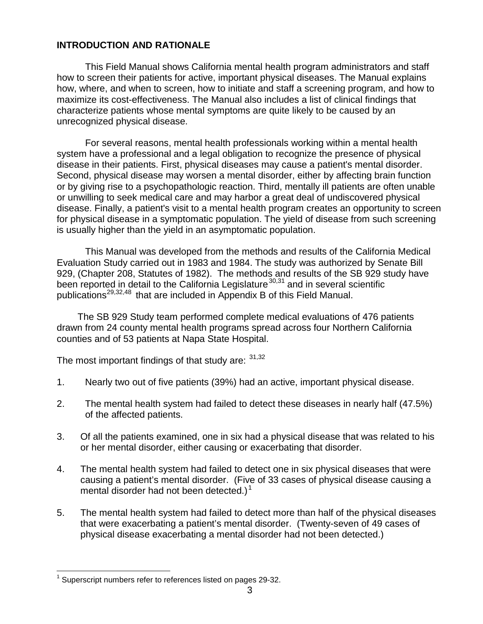#### **INTRODUCTION AND RATIONALE**

This Field Manual shows California mental health program administrators and staff how to screen their patients for active, important physical diseases. The Manual explains how, where, and when to screen, how to initiate and staff a screening program, and how to maximize its cost-effectiveness. The Manual also includes a list of clinical findings that characterize patients whose mental symptoms are quite likely to be caused by an unrecognized physical disease.

For several reasons, mental health professionals working within a mental health system have a professional and a legal obligation to recognize the presence of physical disease in their patients. First, physical diseases may cause a patient's mental disorder. Second, physical disease may worsen a mental disorder, either by affecting brain function or by giving rise to a psychopathologic reaction. Third, mentally ill patients are often unable or unwilling to seek medical care and may harbor a great deal of undiscovered physical disease. Finally, a patient's visit to a mental health program creates an opportunity to screen for physical disease in a symptomatic population. The yield of disease from such screening is usually higher than the yield in an asymptomatic population.

This Manual was developed from the methods and results of the California Medical Evaluation Study carried out in 1983 and 1984. The study was authorized by Senate Bill 929, (Chapter 208, Statutes of 1982). The methods and results of the SB 929 study have been reported in detail to the California Legislature<sup>30,31</sup> and in several scientific publications29,32,48 that are included in Appendix B of this Field Manual.

 The SB 929 Study team performed complete medical evaluations of 476 patients drawn from 24 county mental health programs spread across four Northern California counties and of 53 patients at Napa State Hospital.

The most important findings of that study are:  $31,32$ 

- 1. Nearly two out of five patients (39%) had an active, important physical disease.
- 2. The mental health system had failed to detect these diseases in nearly half (47.5%) of the affected patients.
- 3. Of all the patients examined, one in six had a physical disease that was related to his or her mental disorder, either causing or exacerbating that disorder.
- 4. The mental health system had failed to detect one in six physical diseases that were causing a patient's mental disorder. (Five of 33 cases of physical disease causing a mental disorder had not been detected.)<sup>1</sup>
- 5. The mental health system had failed to detect more than half of the physical diseases that were exacerbating a patient's mental disorder. (Twenty-seven of 49 cases of physical disease exacerbating a mental disorder had not been detected.)

 $\overline{a}$ 

 $1$  Superscript numbers refer to references listed on pages 29-32.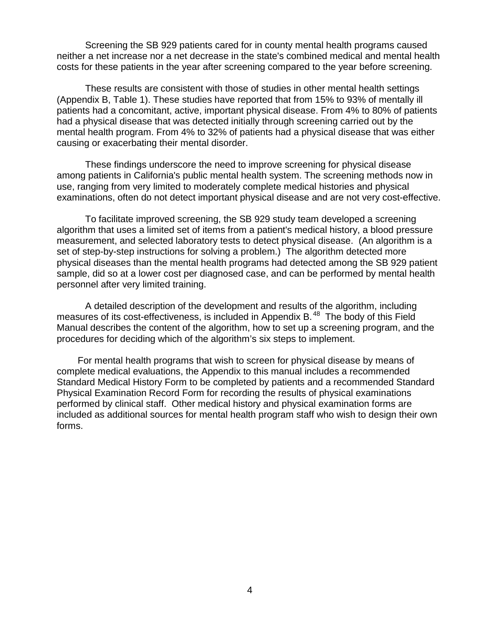Screening the SB 929 patients cared for in county mental health programs caused neither a net increase nor a net decrease in the state's combined medical and mental health costs for these patients in the year after screening compared to the year before screening.

These results are consistent with those of studies in other mental health settings (Appendix B, Table 1). These studies have reported that from 15% to 93% of mentally ill patients had a concomitant, active, important physical disease. From 4% to 80% of patients had a physical disease that was detected initially through screening carried out by the mental health program. From 4% to 32% of patients had a physical disease that was either causing or exacerbating their mental disorder.

These findings underscore the need to improve screening for physical disease among patients in California's public mental health system. The screening methods now in use, ranging from very limited to moderately complete medical histories and physical examinations, often do not detect important physical disease and are not very cost-effective.

To facilitate improved screening, the SB 929 study team developed a screening algorithm that uses a limited set of items from a patient's medical history, a blood pressure measurement, and selected laboratory tests to detect physical disease. (An algorithm is a set of step-by-step instructions for solving a problem.) The algorithm detected more physical diseases than the mental health programs had detected among the SB 929 patient sample, did so at a lower cost per diagnosed case, and can be performed by mental health personnel after very limited training.

A detailed description of the development and results of the algorithm, including measures of its cost-effectiveness, is included in Appendix B.<sup>48</sup> The body of this Field Manual describes the content of the algorithm, how to set up a screening program, and the procedures for deciding which of the algorithm's six steps to implement.

 For mental health programs that wish to screen for physical disease by means of complete medical evaluations, the Appendix to this manual includes a recommended Standard Medical History Form to be completed by patients and a recommended Standard Physical Examination Record Form for recording the results of physical examinations performed by clinical staff. Other medical history and physical examination forms are included as additional sources for mental health program staff who wish to design their own forms.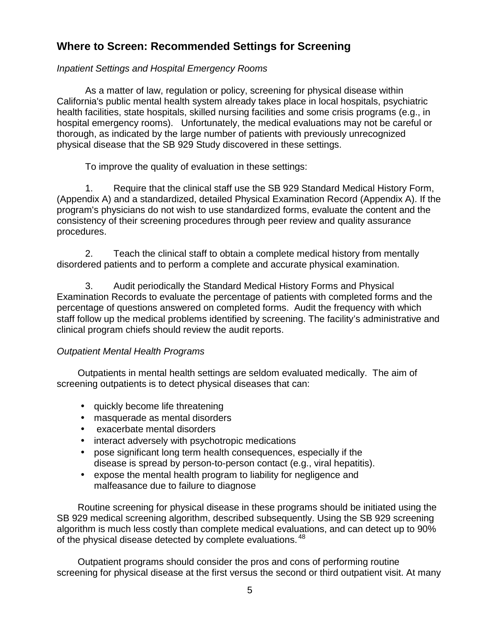## **Where to Screen: Recommended Settings for Screening**

### *Inpatient Settings and Hospital Emergency Rooms*

As a matter of law, regulation or policy, screening for physical disease within California's public mental health system already takes place in local hospitals, psychiatric health facilities, state hospitals, skilled nursing facilities and some crisis programs (e.g., in hospital emergency rooms). Unfortunately, the medical evaluations may not be careful or thorough, as indicated by the large number of patients with previously unrecognized physical disease that the SB 929 Study discovered in these settings.

To improve the quality of evaluation in these settings:

1. Require that the clinical staff use the SB 929 Standard Medical History Form, (Appendix A) and a standardized, detailed Physical Examination Record (Appendix A). If the program's physicians do not wish to use standardized forms, evaluate the content and the consistency of their screening procedures through peer review and quality assurance procedures.

2. Teach the clinical staff to obtain a complete medical history from mentally disordered patients and to perform a complete and accurate physical examination.

3. Audit periodically the Standard Medical History Forms and Physical Examination Records to evaluate the percentage of patients with completed forms and the percentage of questions answered on completed forms. Audit the frequency with which staff follow up the medical problems identified by screening. The facility's administrative and clinical program chiefs should review the audit reports.

#### *Outpatient Mental Health Programs*

 Outpatients in mental health settings are seldom evaluated medically. The aim of screening outpatients is to detect physical diseases that can:

- quickly become life threatening
- masquerade as mental disorders
- exacerbate mental disorders
- interact adversely with psychotropic medications
- pose significant long term health consequences, especially if the disease is spread by person-to-person contact (e.g., viral hepatitis).
- expose the mental health program to liability for negligence and malfeasance due to failure to diagnose

 Routine screening for physical disease in these programs should be initiated using the SB 929 medical screening algorithm, described subsequently. Using the SB 929 screening algorithm is much less costly than complete medical evaluations, and can detect up to 90% of the physical disease detected by complete evaluations. <sup>48</sup>

 Outpatient programs should consider the pros and cons of performing routine screening for physical disease at the first versus the second or third outpatient visit. At many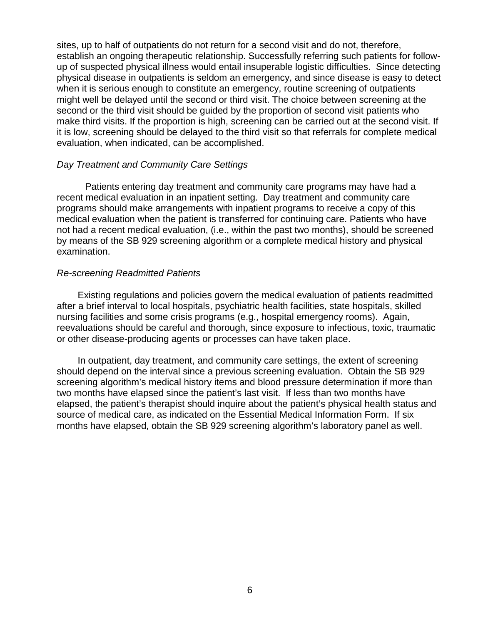sites, up to half of outpatients do not return for a second visit and do not, therefore, establish an ongoing therapeutic relationship. Successfully referring such patients for followup of suspected physical illness would entail insuperable logistic difficulties. Since detecting physical disease in outpatients is seldom an emergency, and since disease is easy to detect when it is serious enough to constitute an emergency, routine screening of outpatients might well be delayed until the second or third visit. The choice between screening at the second or the third visit should be guided by the proportion of second visit patients who make third visits. If the proportion is high, screening can be carried out at the second visit. If it is low, screening should be delayed to the third visit so that referrals for complete medical evaluation, when indicated, can be accomplished.

#### *Day Treatment and Community Care Settings*

Patients entering day treatment and community care programs may have had a recent medical evaluation in an inpatient setting. Day treatment and community care programs should make arrangements with inpatient programs to receive a copy of this medical evaluation when the patient is transferred for continuing care. Patients who have not had a recent medical evaluation, (i.e., within the past two months), should be screened by means of the SB 929 screening algorithm or a complete medical history and physical examination.

#### *Re-screening Readmitted Patients*

 Existing regulations and policies govern the medical evaluation of patients readmitted after a brief interval to local hospitals, psychiatric health facilities, state hospitals, skilled nursing facilities and some crisis programs (e.g., hospital emergency rooms). Again, reevaluations should be careful and thorough, since exposure to infectious, toxic, traumatic or other disease-producing agents or processes can have taken place.

 In outpatient, day treatment, and community care settings, the extent of screening should depend on the interval since a previous screening evaluation. Obtain the SB 929 screening algorithm's medical history items and blood pressure determination if more than two months have elapsed since the patient's last visit. If less than two months have elapsed, the patient's therapist should inquire about the patient's physical health status and source of medical care, as indicated on the Essential Medical Information Form. If six months have elapsed, obtain the SB 929 screening algorithm's laboratory panel as well.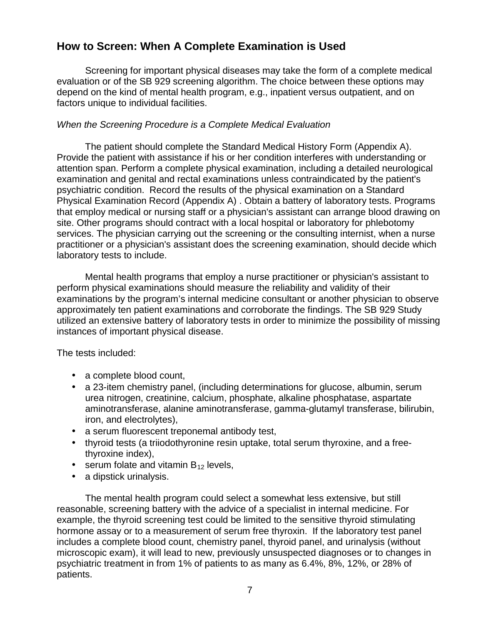## **How to Screen: When A Complete Examination is Used**

Screening for important physical diseases may take the form of a complete medical evaluation or of the SB 929 screening algorithm. The choice between these options may depend on the kind of mental health program, e.g., inpatient versus outpatient, and on factors unique to individual facilities.

## *When the Screening Procedure is a Complete Medical Evaluation*

The patient should complete the Standard Medical History Form (Appendix A). Provide the patient with assistance if his or her condition interferes with understanding or attention span. Perform a complete physical examination, including a detailed neurological examination and genital and rectal examinations unless contraindicated by the patient's psychiatric condition. Record the results of the physical examination on a Standard Physical Examination Record (Appendix A) . Obtain a battery of laboratory tests. Programs that employ medical or nursing staff or a physician's assistant can arrange blood drawing on site. Other programs should contract with a local hospital or laboratory for phlebotomy services. The physician carrying out the screening or the consulting internist, when a nurse practitioner or a physician's assistant does the screening examination, should decide which laboratory tests to include.

Mental health programs that employ a nurse practitioner or physician's assistant to perform physical examinations should measure the reliability and validity of their examinations by the program's internal medicine consultant or another physician to observe approximately ten patient examinations and corroborate the findings. The SB 929 Study utilized an extensive battery of laboratory tests in order to minimize the possibility of missing instances of important physical disease.

The tests included:

- a complete blood count,
- a 23-item chemistry panel, (including determinations for glucose, albumin, serum urea nitrogen, creatinine, calcium, phosphate, alkaline phosphatase, aspartate aminotransferase, alanine aminotransferase, gamma-glutamyl transferase, bilirubin, iron, and electrolytes),
- a serum fluorescent treponemal antibody test,
- thyroid tests (a triiodothyronine resin uptake, total serum thyroxine, and a freethyroxine index),
- serum folate and vitamin  $B_{12}$  levels,
- a dipstick urinalysis.

The mental health program could select a somewhat less extensive, but still reasonable, screening battery with the advice of a specialist in internal medicine. For example, the thyroid screening test could be limited to the sensitive thyroid stimulating hormone assay or to a measurement of serum free thyroxin. If the laboratory test panel includes a complete blood count, chemistry panel, thyroid panel, and urinalysis (without microscopic exam), it will lead to new, previously unsuspected diagnoses or to changes in psychiatric treatment in from 1% of patients to as many as 6.4%, 8%, 12%, or 28% of patients.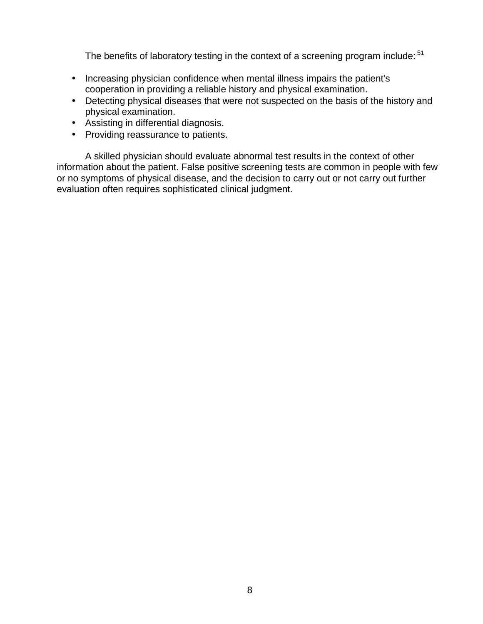The benefits of laboratory testing in the context of a screening program include: <sup>51</sup>

- Increasing physician confidence when mental illness impairs the patient's cooperation in providing a reliable history and physical examination.
- Detecting physical diseases that were not suspected on the basis of the history and physical examination.
- Assisting in differential diagnosis.
- Providing reassurance to patients.

A skilled physician should evaluate abnormal test results in the context of other information about the patient. False positive screening tests are common in people with few or no symptoms of physical disease, and the decision to carry out or not carry out further evaluation often requires sophisticated clinical judgment.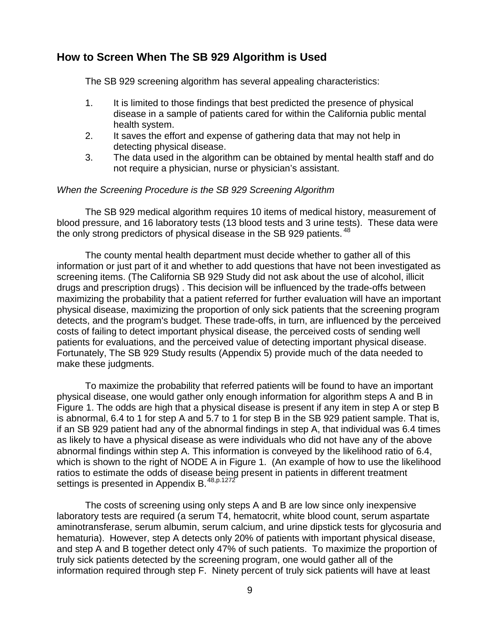## **How to Screen When The SB 929 Algorithm is Used**

The SB 929 screening algorithm has several appealing characteristics:

- 1. It is limited to those findings that best predicted the presence of physical disease in a sample of patients cared for within the California public mental health system.
- 2. It saves the effort and expense of gathering data that may not help in detecting physical disease.
- 3. The data used in the algorithm can be obtained by mental health staff and do not require a physician, nurse or physician's assistant.

#### *When the Screening Procedure is the SB 929 Screening Algorithm*

The SB 929 medical algorithm requires 10 items of medical history, measurement of blood pressure, and 16 laboratory tests (13 blood tests and 3 urine tests). These data were the only strong predictors of physical disease in the SB 929 patients. <sup>48</sup>

The county mental health department must decide whether to gather all of this information or just part of it and whether to add questions that have not been investigated as screening items. (The California SB 929 Study did not ask about the use of alcohol, illicit drugs and prescription drugs) . This decision will be influenced by the trade-offs between maximizing the probability that a patient referred for further evaluation will have an important physical disease, maximizing the proportion of only sick patients that the screening program detects, and the program's budget. These trade-offs, in turn, are influenced by the perceived costs of failing to detect important physical disease, the perceived costs of sending well patients for evaluations, and the perceived value of detecting important physical disease. Fortunately, The SB 929 Study results (Appendix 5) provide much of the data needed to make these judgments.

To maximize the probability that referred patients will be found to have an important physical disease, one would gather only enough information for algorithm steps A and B in Figure 1. The odds are high that a physical disease is present if any item in step A or step B is abnormal, 6.4 to 1 for step A and 5.7 to 1 for step B in the SB 929 patient sample. That is, if an SB 929 patient had any of the abnormal findings in step A, that individual was 6.4 times as likely to have a physical disease as were individuals who did not have any of the above abnormal findings within step A. This information is conveyed by the likelihood ratio of 6.4, which is shown to the right of NODE A in Figure 1. (An example of how to use the likelihood ratios to estimate the odds of disease being present in patients in different treatment settings is presented in Appendix B.<sup>48,p.1272</sup>

The costs of screening using only steps A and B are low since only inexpensive laboratory tests are required (a serum T4, hematocrit, white blood count, serum aspartate aminotransferase, serum albumin, serum calcium, and urine dipstick tests for glycosuria and hematuria). However, step A detects only 20% of patients with important physical disease, and step A and B together detect only 47% of such patients. To maximize the proportion of truly sick patients detected by the screening program, one would gather all of the information required through step F. Ninety percent of truly sick patients will have at least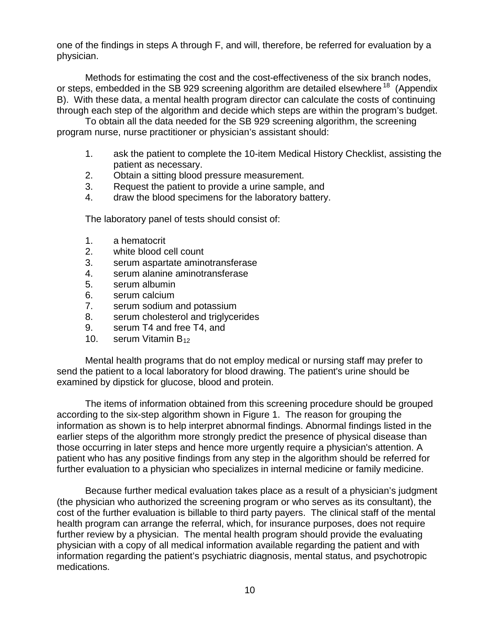one of the findings in steps A through F, and will, therefore, be referred for evaluation by a physician.

Methods for estimating the cost and the cost-effectiveness of the six branch nodes, or steps, embedded in the SB 929 screening algorithm are detailed elsewhere <sup>18</sup> (Appendix B). With these data, a mental health program director can calculate the costs of continuing through each step of the algorithm and decide which steps are within the program's budget.

To obtain all the data needed for the SB 929 screening algorithm, the screening program nurse, nurse practitioner or physician's assistant should:

- 1. ask the patient to complete the 10-item Medical History Checklist, assisting the patient as necessary.
- 2. Obtain a sitting blood pressure measurement.
- 3. Request the patient to provide a urine sample, and
- 4. draw the blood specimens for the laboratory battery.

The laboratory panel of tests should consist of:

- 1. a hematocrit
- 2. white blood cell count
- 3. serum aspartate aminotransferase
- 4. serum alanine aminotransferase
- 5. serum albumin
- 6. serum calcium
- 7. serum sodium and potassium
- 8. serum cholesterol and triglycerides
- 9. serum T4 and free T4, and
- 10. serum Vitamin  $B_{12}$

Mental health programs that do not employ medical or nursing staff may prefer to send the patient to a local laboratory for blood drawing. The patient's urine should be examined by dipstick for glucose, blood and protein.

The items of information obtained from this screening procedure should be grouped according to the six-step algorithm shown in Figure 1. The reason for grouping the information as shown is to help interpret abnormal findings. Abnormal findings listed in the earlier steps of the algorithm more strongly predict the presence of physical disease than those occurring in later steps and hence more urgently require a physician's attention. A patient who has any positive findings from any step in the algorithm should be referred for further evaluation to a physician who specializes in internal medicine or family medicine.

Because further medical evaluation takes place as a result of a physician's judgment (the physician who authorized the screening program or who serves as its consultant), the cost of the further evaluation is billable to third party payers. The clinical staff of the mental health program can arrange the referral, which, for insurance purposes, does not require further review by a physician. The mental health program should provide the evaluating physician with a copy of all medical information available regarding the patient and with information regarding the patient's psychiatric diagnosis, mental status, and psychotropic medications.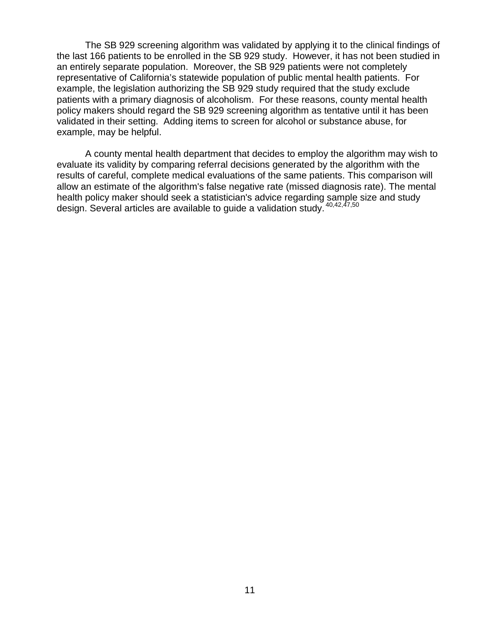The SB 929 screening algorithm was validated by applying it to the clinical findings of the last 166 patients to be enrolled in the SB 929 study. However, it has not been studied in an entirely separate population. Moreover, the SB 929 patients were not completely representative of California's statewide population of public mental health patients. For example, the legislation authorizing the SB 929 study required that the study exclude patients with a primary diagnosis of alcoholism. For these reasons, county mental health policy makers should regard the SB 929 screening algorithm as tentative until it has been validated in their setting. Adding items to screen for alcohol or substance abuse, for example, may be helpful.

A county mental health department that decides to employ the algorithm may wish to evaluate its validity by comparing referral decisions generated by the algorithm with the results of careful, complete medical evaluations of the same patients. This comparison will allow an estimate of the algorithm's false negative rate (missed diagnosis rate). The mental health policy maker should seek a statistician's advice regarding sample size and study design. Several articles are available to guide a validation study. 40,42,47,50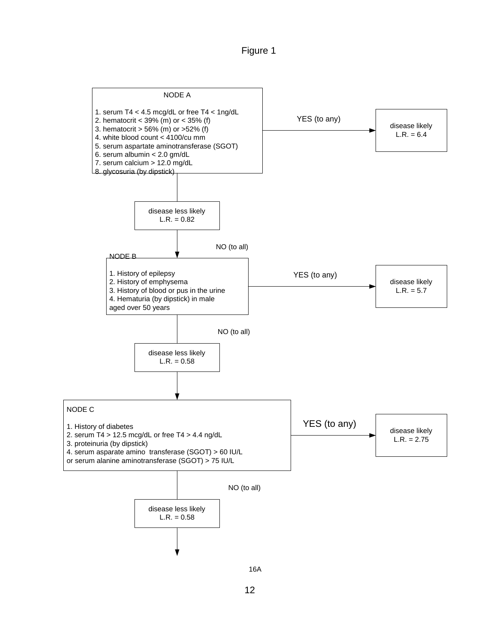Figure 1



16A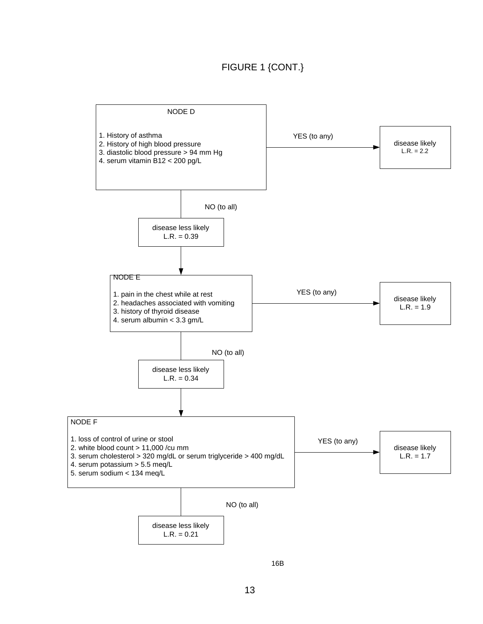## FIGURE 1 {CONT.}



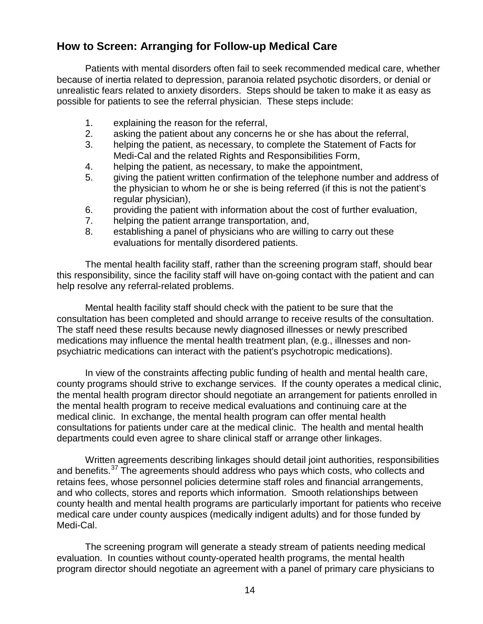## **How to Screen: Arranging for Follow-up Medical Care**

Patients with mental disorders often fail to seek recommended medical care, whether because of inertia related to depression, paranoia related psychotic disorders, or denial or unrealistic fears related to anxiety disorders. Steps should be taken to make it as easy as possible for patients to see the referral physician. These steps include:

- 1. explaining the reason for the referral,
- 2. asking the patient about any concerns he or she has about the referral,
- 3. helping the patient, as necessary, to complete the Statement of Facts for Medi-Cal and the related Rights and Responsibilities Form,
- 4. helping the patient, as necessary, to make the appointment,
- 5. giving the patient written confirmation of the telephone number and address of the physician to whom he or she is being referred (if this is not the patient's regular physician),
- 6. providing the patient with information about the cost of further evaluation,
- 7. helping the patient arrange transportation, and,
- 8. establishing a panel of physicians who are willing to carry out these evaluations for mentally disordered patients.

The mental health facility staff, rather than the screening program staff, should bear this responsibility, since the facility staff will have on-going contact with the patient and can help resolve any referral-related problems.

Mental health facility staff should check with the patient to be sure that the consultation has been completed and should arrange to receive results of the consultation. The staff need these results because newly diagnosed illnesses or newly prescribed medications may influence the mental health treatment plan, (e.g., illnesses and nonpsychiatric medications can interact with the patient's psychotropic medications).

In view of the constraints affecting public funding of health and mental health care, county programs should strive to exchange services. If the county operates a medical clinic, the mental health program director should negotiate an arrangement for patients enrolled in the mental health program to receive medical evaluations and continuing care at the medical clinic. In exchange, the mental health program can offer mental health consultations for patients under care at the medical clinic. The health and mental health departments could even agree to share clinical staff or arrange other linkages.

Written agreements describing linkages should detail joint authorities, responsibilities and benefits.<sup>37</sup> The agreements should address who pays which costs, who collects and retains fees, whose personnel policies determine staff roles and financial arrangements, and who collects, stores and reports which information. Smooth relationships between county health and mental health programs are particularly important for patients who receive medical care under county auspices (medically indigent adults) and for those funded by Medi-Cal.

The screening program will generate a steady stream of patients needing medical evaluation. In counties without county-operated health programs, the mental health program director should negotiate an agreement with a panel of primary care physicians to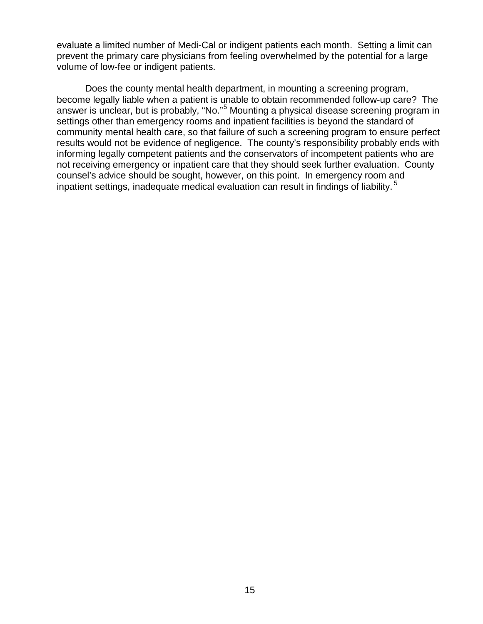evaluate a limited number of Medi-Cal or indigent patients each month. Setting a limit can prevent the primary care physicians from feeling overwhelmed by the potential for a large volume of low-fee or indigent patients.

Does the county mental health department, in mounting a screening program, become legally liable when a patient is unable to obtain recommended follow-up care? The answer is unclear, but is probably, "No."<sup>5</sup> Mounting a physical disease screening program in settings other than emergency rooms and inpatient facilities is beyond the standard of community mental health care, so that failure of such a screening program to ensure perfect results would not be evidence of negligence. The county's responsibility probably ends with informing legally competent patients and the conservators of incompetent patients who are not receiving emergency or inpatient care that they should seek further evaluation. County counsel's advice should be sought, however, on this point. In emergency room and inpatient settings, inadequate medical evaluation can result in findings of liability.<sup>5</sup>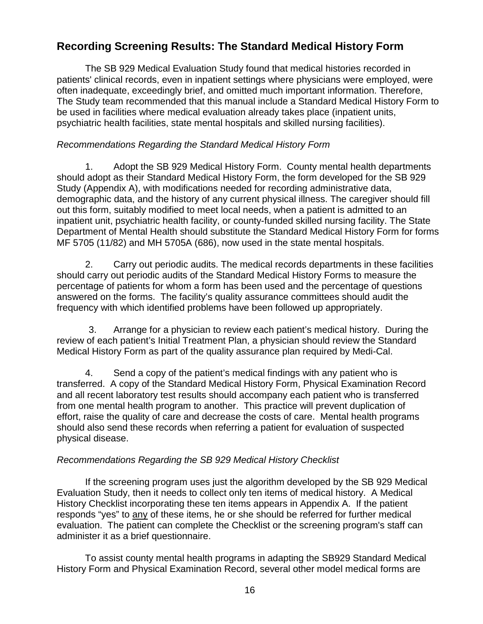## **Recording Screening Results: The Standard Medical History Form**

The SB 929 Medical Evaluation Study found that medical histories recorded in patients' clinical records, even in inpatient settings where physicians were employed, were often inadequate, exceedingly brief, and omitted much important information. Therefore, The Study team recommended that this manual include a Standard Medical History Form to be used in facilities where medical evaluation already takes place (inpatient units, psychiatric health facilities, state mental hospitals and skilled nursing facilities).

#### *Recommendations Regarding the Standard Medical History Form*

1. Adopt the SB 929 Medical History Form. County mental health departments should adopt as their Standard Medical History Form, the form developed for the SB 929 Study (Appendix A), with modifications needed for recording administrative data, demographic data, and the history of any current physical illness. The caregiver should fill out this form, suitably modified to meet local needs, when a patient is admitted to an inpatient unit, psychiatric health facility, or county-funded skilled nursing facility. The State Department of Mental Health should substitute the Standard Medical History Form for forms MF 5705 (11/82) and MH 5705A (686), now used in the state mental hospitals.

2. Carry out periodic audits. The medical records departments in these facilities should carry out periodic audits of the Standard Medical History Forms to measure the percentage of patients for whom a form has been used and the percentage of questions answered on the forms. The facility's quality assurance committees should audit the frequency with which identified problems have been followed up appropriately.

3. Arrange for a physician to review each patient's medical history. During the review of each patient's Initial Treatment Plan, a physician should review the Standard Medical History Form as part of the quality assurance plan required by Medi-Cal.

4. Send a copy of the patient's medical findings with any patient who is transferred. A copy of the Standard Medical History Form, Physical Examination Record and all recent laboratory test results should accompany each patient who is transferred from one mental health program to another. This practice will prevent duplication of effort, raise the quality of care and decrease the costs of care. Mental health programs should also send these records when referring a patient for evaluation of suspected physical disease.

## *Recommendations Regarding the SB 929 Medical History Checklist*

If the screening program uses just the algorithm developed by the SB 929 Medical Evaluation Study, then it needs to collect only ten items of medical history. A Medical History Checklist incorporating these ten items appears in Appendix A. If the patient responds "yes" to any of these items, he or she should be referred for further medical evaluation. The patient can complete the Checklist or the screening program's staff can administer it as a brief questionnaire.

To assist county mental health programs in adapting the SB929 Standard Medical History Form and Physical Examination Record, several other model medical forms are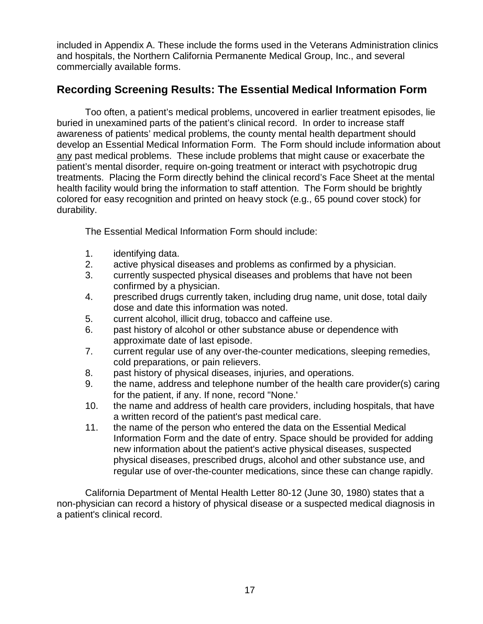included in Appendix A. These include the forms used in the Veterans Administration clinics and hospitals, the Northern California Permanente Medical Group, Inc., and several commercially available forms.

## **Recording Screening Results: The Essential Medical Information Form**

Too often, a patient's medical problems, uncovered in earlier treatment episodes, lie buried in unexamined parts of the patient's clinical record. In order to increase staff awareness of patients' medical problems, the county mental health department should develop an Essential Medical Information Form. The Form should include information about any past medical problems. These include problems that might cause or exacerbate the patient's mental disorder, require on-going treatment or interact with psychotropic drug treatments. Placing the Form directly behind the clinical record's Face Sheet at the mental health facility would bring the information to staff attention. The Form should be brightly colored for easy recognition and printed on heavy stock (e.g., 65 pound cover stock) for durability.

The Essential Medical Information Form should include:

- 1. identifying data.
- 2. active physical diseases and problems as confirmed by a physician.
- 3. currently suspected physical diseases and problems that have not been confirmed by a physician.
- 4. prescribed drugs currently taken, including drug name, unit dose, total daily dose and date this information was noted.
- 5. current alcohol, illicit drug, tobacco and caffeine use.
- 6. past history of alcohol or other substance abuse or dependence with approximate date of last episode.
- 7. current regular use of any over-the-counter medications, sleeping remedies, cold preparations, or pain relievers.
- 8. past history of physical diseases, injuries, and operations.
- 9. the name, address and telephone number of the health care provider(s) caring for the patient, if any. If none, record "None.'
- 10. the name and address of health care providers, including hospitals, that have a written record of the patient's past medical care.
- 11. the name of the person who entered the data on the Essential Medical Information Form and the date of entry. Space should be provided for adding new information about the patient's active physical diseases, suspected physical diseases, prescribed drugs, alcohol and other substance use, and regular use of over-the-counter medications, since these can change rapidly.

California Department of Mental Health Letter 80-12 (June 30, 1980) states that a non-physician can record a history of physical disease or a suspected medical diagnosis in a patient's clinical record.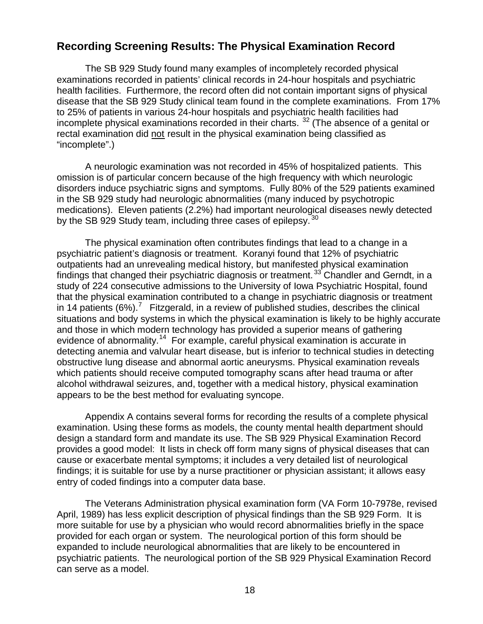## **Recording Screening Results: The Physical Examination Record**

The SB 929 Study found many examples of incompletely recorded physical examinations recorded in patients' clinical records in 24-hour hospitals and psychiatric health facilities. Furthermore, the record often did not contain important signs of physical disease that the SB 929 Study clinical team found in the complete examinations. From 17% to 25% of patients in various 24-hour hospitals and psychiatric health facilities had incomplete physical examinations recorded in their charts.  $32$  (The absence of a genital or rectal examination did not result in the physical examination being classified as "incomplete".)

A neurologic examination was not recorded in 45% of hospitalized patients. This omission is of particular concern because of the high frequency with which neurologic disorders induce psychiatric signs and symptoms. Fully 80% of the 529 patients examined in the SB 929 study had neurologic abnormalities (many induced by psychotropic medications). Eleven patients (2.2%) had important neurological diseases newly detected by the SB 929 Study team, including three cases of epilepsy.<sup>30</sup>

The physical examination often contributes findings that lead to a change in a psychiatric patient's diagnosis or treatment. Koranyi found that 12% of psychiatric outpatients had an unrevealing medical history, but manifested physical examination findings that changed their psychiatric diagnosis or treatment.<sup>33</sup> Chandler and Gerndt, in a study of 224 consecutive admissions to the University of Iowa Psychiatric Hospital, found that the physical examination contributed to a change in psychiatric diagnosis or treatment in 14 patients (6%).<sup>7</sup> Fitzgerald, in a review of published studies, describes the clinical situations and body systems in which the physical examination is likely to be highly accurate and those in which modern technology has provided a superior means of gathering evidence of abnormality.<sup>14</sup> For example, careful physical examination is accurate in detecting anemia and valvular heart disease, but is inferior to technical studies in detecting obstructive lung disease and abnormal aortic aneurysms. Physical examination reveals which patients should receive computed tomography scans after head trauma or after alcohol withdrawal seizures, and, together with a medical history, physical examination appears to be the best method for evaluating syncope.

Appendix A contains several forms for recording the results of a complete physical examination. Using these forms as models, the county mental health department should design a standard form and mandate its use. The SB 929 Physical Examination Record provides a good model: It lists in check off form many signs of physical diseases that can cause or exacerbate mental symptoms; it includes a very detailed list of neurological findings; it is suitable for use by a nurse practitioner or physician assistant; it allows easy entry of coded findings into a computer data base.

The Veterans Administration physical examination form (VA Form 10-7978e, revised April, 1989) has less explicit description of physical findings than the SB 929 Form. It is more suitable for use by a physician who would record abnormalities briefly in the space provided for each organ or system. The neurological portion of this form should be expanded to include neurological abnormalities that are likely to be encountered in psychiatric patients. The neurological portion of the SB 929 Physical Examination Record can serve as a model.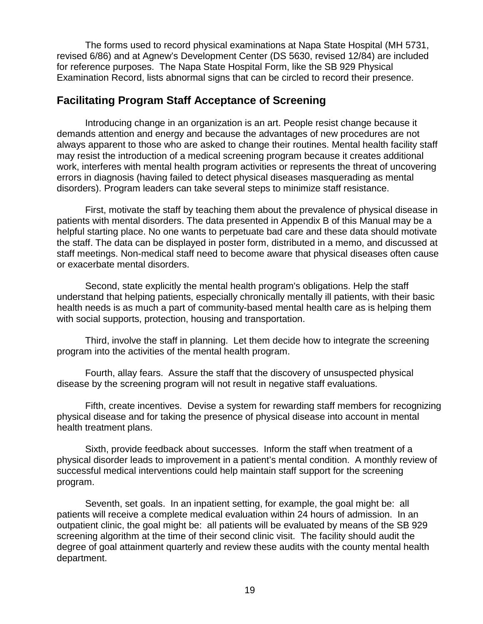The forms used to record physical examinations at Napa State Hospital (MH 5731, revised 6/86) and at Agnew's Development Center (DS 5630, revised 12/84) are included for reference purposes. The Napa State Hospital Form, like the SB 929 Physical Examination Record, lists abnormal signs that can be circled to record their presence.

## **Facilitating Program Staff Acceptance of Screening**

Introducing change in an organization is an art. People resist change because it demands attention and energy and because the advantages of new procedures are not always apparent to those who are asked to change their routines. Mental health facility staff may resist the introduction of a medical screening program because it creates additional work, interferes with mental health program activities or represents the threat of uncovering errors in diagnosis (having failed to detect physical diseases masquerading as mental disorders). Program leaders can take several steps to minimize staff resistance.

First, motivate the staff by teaching them about the prevalence of physical disease in patients with mental disorders. The data presented in Appendix B of this Manual may be a helpful starting place. No one wants to perpetuate bad care and these data should motivate the staff. The data can be displayed in poster form, distributed in a memo, and discussed at staff meetings. Non-medical staff need to become aware that physical diseases often cause or exacerbate mental disorders.

Second, state explicitly the mental health program's obligations. Help the staff understand that helping patients, especially chronically mentally ill patients, with their basic health needs is as much a part of community-based mental health care as is helping them with social supports, protection, housing and transportation.

Third, involve the staff in planning. Let them decide how to integrate the screening program into the activities of the mental health program.

Fourth, allay fears. Assure the staff that the discovery of unsuspected physical disease by the screening program will not result in negative staff evaluations.

Fifth, create incentives. Devise a system for rewarding staff members for recognizing physical disease and for taking the presence of physical disease into account in mental health treatment plans.

Sixth, provide feedback about successes. Inform the staff when treatment of a physical disorder leads to improvement in a patient's mental condition. A monthly review of successful medical interventions could help maintain staff support for the screening program.

Seventh, set goals. In an inpatient setting, for example, the goal might be: all patients will receive a complete medical evaluation within 24 hours of admission. In an outpatient clinic, the goal might be: all patients will be evaluated by means of the SB 929 screening algorithm at the time of their second clinic visit. The facility should audit the degree of goal attainment quarterly and review these audits with the county mental health department.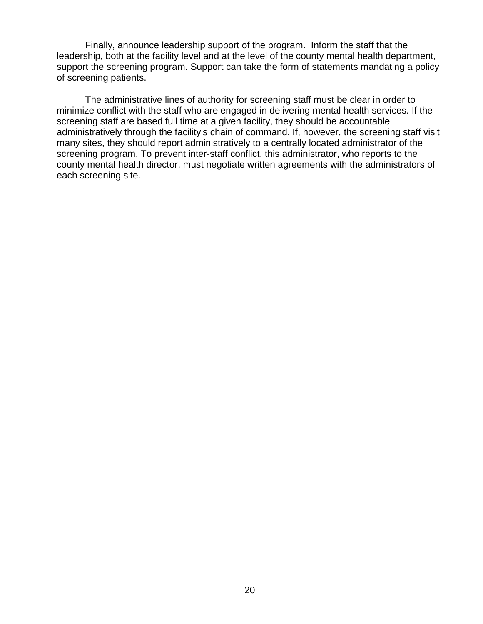Finally, announce leadership support of the program. Inform the staff that the leadership, both at the facility level and at the level of the county mental health department, support the screening program. Support can take the form of statements mandating a policy of screening patients.

The administrative lines of authority for screening staff must be clear in order to minimize conflict with the staff who are engaged in delivering mental health services. If the screening staff are based full time at a given facility, they should be accountable administratively through the facility's chain of command. If, however, the screening staff visit many sites, they should report administratively to a centrally located administrator of the screening program. To prevent inter-staff conflict, this administrator, who reports to the county mental health director, must negotiate written agreements with the administrators of each screening site.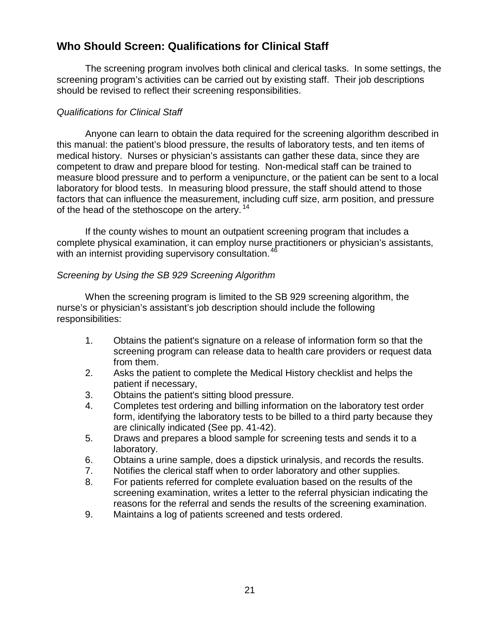## **Who Should Screen: Qualifications for Clinical Staff**

The screening program involves both clinical and clerical tasks. In some settings, the screening program's activities can be carried out by existing staff. Their job descriptions should be revised to reflect their screening responsibilities.

#### *Qualifications for Clinical Staff*

Anyone can learn to obtain the data required for the screening algorithm described in this manual: the patient's blood pressure, the results of laboratory tests, and ten items of medical history. Nurses or physician's assistants can gather these data, since they are competent to draw and prepare blood for testing. Non-medical staff can be trained to measure blood pressure and to perform a venipuncture, or the patient can be sent to a local laboratory for blood tests. In measuring blood pressure, the staff should attend to those factors that can influence the measurement, including cuff size, arm position, and pressure of the head of the stethoscope on the artery.<sup>14</sup>

If the county wishes to mount an outpatient screening program that includes a complete physical examination, it can employ nurse practitioners or physician's assistants, with an internist providing supervisory consultation.<sup>46</sup>

#### *Screening by Using the SB 929 Screening Algorithm*

When the screening program is limited to the SB 929 screening algorithm, the nurse's or physician's assistant's job description should include the following responsibilities:

- 1. Obtains the patient's signature on a release of information form so that the screening program can release data to health care providers or request data from them.
- 2. Asks the patient to complete the Medical History checklist and helps the patient if necessary,
- 3. Obtains the patient's sitting blood pressure.
- 4. Completes test ordering and billing information on the laboratory test order form, identifying the laboratory tests to be billed to a third party because they are clinically indicated (See pp. 41-42).
- 5. Draws and prepares a blood sample for screening tests and sends it to a laboratory.
- 6. Obtains a urine sample, does a dipstick urinalysis, and records the results.
- 7. Notifies the clerical staff when to order laboratory and other supplies.
- 8. For patients referred for complete evaluation based on the results of the screening examination, writes a letter to the referral physician indicating the reasons for the referral and sends the results of the screening examination.
- 9. Maintains a log of patients screened and tests ordered.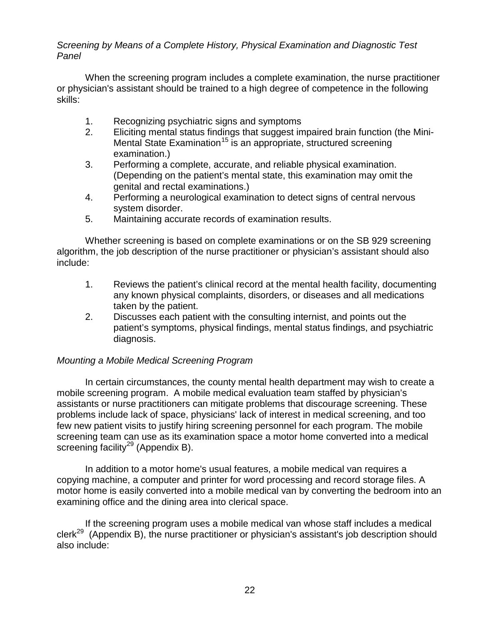#### *Screening by Means of a Complete History, Physical Examination and Diagnostic Test Panel*

When the screening program includes a complete examination, the nurse practitioner or physician's assistant should be trained to a high degree of competence in the following skills:

- 1. Recognizing psychiatric signs and symptoms
- 2. Eliciting mental status findings that suggest impaired brain function (the Mini-Mental State Examination<sup>15</sup> is an appropriate, structured screening examination.)
- 3. Performing a complete, accurate, and reliable physical examination. (Depending on the patient's mental state, this examination may omit the genital and rectal examinations.)
- 4. Performing a neurological examination to detect signs of central nervous system disorder.
- 5. Maintaining accurate records of examination results.

Whether screening is based on complete examinations or on the SB 929 screening algorithm, the job description of the nurse practitioner or physician's assistant should also include:

- 1. Reviews the patient's clinical record at the mental health facility, documenting any known physical complaints, disorders, or diseases and all medications taken by the patient.
- 2. Discusses each patient with the consulting internist, and points out the patient's symptoms, physical findings, mental status findings, and psychiatric diagnosis.

## *Mounting a Mobile Medical Screening Program*

In certain circumstances, the county mental health department may wish to create a mobile screening program. A mobile medical evaluation team staffed by physician's assistants or nurse practitioners can mitigate problems that discourage screening. These problems include lack of space, physicians' lack of interest in medical screening, and too few new patient visits to justify hiring screening personnel for each program. The mobile screening team can use as its examination space a motor home converted into a medical screening facility<sup>29</sup> (Appendix B).

In addition to a motor home's usual features, a mobile medical van requires a copying machine, a computer and printer for word processing and record storage files. A motor home is easily converted into a mobile medical van by converting the bedroom into an examining office and the dining area into clerical space.

If the screening program uses a mobile medical van whose staff includes a medical clerk<sup>29</sup> (Appendix B), the nurse practitioner or physician's assistant's job description should also include: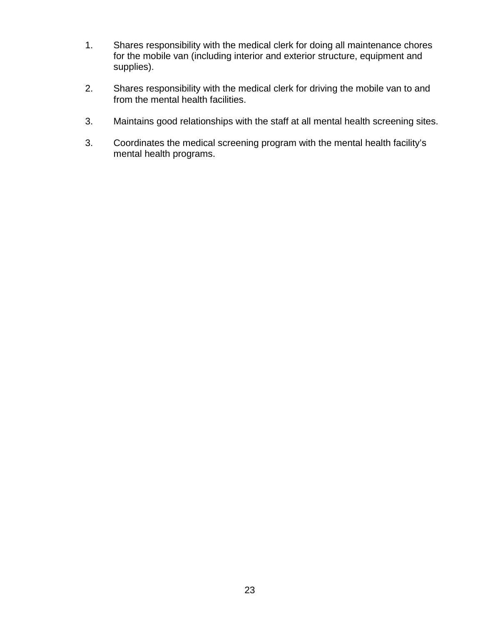- 1. Shares responsibility with the medical clerk for doing all maintenance chores for the mobile van (including interior and exterior structure, equipment and supplies).
- 2. Shares responsibility with the medical clerk for driving the mobile van to and from the mental health facilities.
- 3. Maintains good relationships with the staff at all mental health screening sites.
- 3. Coordinates the medical screening program with the mental health facility's mental health programs.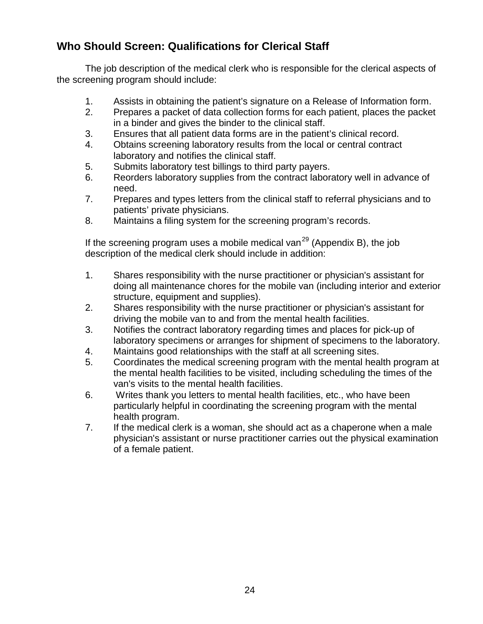## **Who Should Screen: Qualifications for Clerical Staff**

The job description of the medical clerk who is responsible for the clerical aspects of the screening program should include:

- 1. Assists in obtaining the patient's signature on a Release of Information form.
- 2. Prepares a packet of data collection forms for each patient, places the packet in a binder and gives the binder to the clinical staff.
- 3. Ensures that all patient data forms are in the patient's clinical record.
- 4. Obtains screening laboratory results from the local or central contract laboratory and notifies the clinical staff.
- 5. Submits laboratory test billings to third party payers.
- 6. Reorders laboratory supplies from the contract laboratory well in advance of need.
- 7. Prepares and types letters from the clinical staff to referral physicians and to patients' private physicians.
- 8. Maintains a filing system for the screening program's records.

If the screening program uses a mobile medical van<sup>29</sup> (Appendix B), the job description of the medical clerk should include in addition:

- 1. Shares responsibility with the nurse practitioner or physician's assistant for doing all maintenance chores for the mobile van (including interior and exterior structure, equipment and supplies).
- 2. Shares responsibility with the nurse practitioner or physician's assistant for driving the mobile van to and from the mental health facilities.
- 3. Notifies the contract laboratory regarding times and places for pick-up of laboratory specimens or arranges for shipment of specimens to the laboratory.
- 4. Maintains good relationships with the staff at all screening sites.
- 5. Coordinates the medical screening program with the mental health program at the mental health facilities to be visited, including scheduling the times of the van's visits to the mental health facilities.
- 6. Writes thank you letters to mental health facilities, etc., who have been particularly helpful in coordinating the screening program with the mental health program.
- 7. If the medical clerk is a woman, she should act as a chaperone when a male physician's assistant or nurse practitioner carries out the physical examination of a female patient.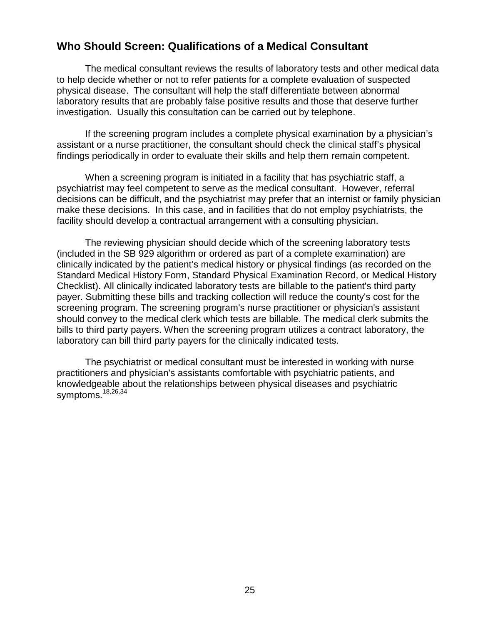## **Who Should Screen: Qualifications of a Medical Consultant**

The medical consultant reviews the results of laboratory tests and other medical data to help decide whether or not to refer patients for a complete evaluation of suspected physical disease. The consultant will help the staff differentiate between abnormal laboratory results that are probably false positive results and those that deserve further investigation. Usually this consultation can be carried out by telephone.

If the screening program includes a complete physical examination by a physician's assistant or a nurse practitioner, the consultant should check the clinical staff's physical findings periodically in order to evaluate their skills and help them remain competent.

When a screening program is initiated in a facility that has psychiatric staff, a psychiatrist may feel competent to serve as the medical consultant. However, referral decisions can be difficult, and the psychiatrist may prefer that an internist or family physician make these decisions. In this case, and in facilities that do not employ psychiatrists, the facility should develop a contractual arrangement with a consulting physician.

The reviewing physician should decide which of the screening laboratory tests (included in the SB 929 algorithm or ordered as part of a complete examination) are clinically indicated by the patient's medical history or physical findings (as recorded on the Standard Medical History Form, Standard Physical Examination Record, or Medical History Checklist). All clinically indicated laboratory tests are billable to the patient's third party payer. Submitting these bills and tracking collection will reduce the county's cost for the screening program. The screening program's nurse practitioner or physician's assistant should convey to the medical clerk which tests are billable. The medical clerk submits the bills to third party payers. When the screening program utilizes a contract laboratory, the laboratory can bill third party payers for the clinically indicated tests.

The psychiatrist or medical consultant must be interested in working with nurse practitioners and physician's assistants comfortable with psychiatric patients, and knowledgeable about the relationships between physical diseases and psychiatric symptoms.<sup>18,26,34</sup>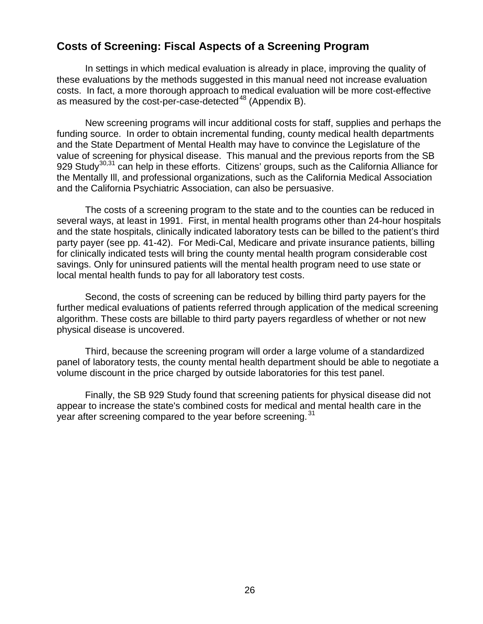## **Costs of Screening: Fiscal Aspects of a Screening Program**

In settings in which medical evaluation is already in place, improving the quality of these evaluations by the methods suggested in this manual need not increase evaluation costs. In fact, a more thorough approach to medical evaluation will be more cost-effective as measured by the cost-per-case-detected $^{48}$  (Appendix B).

New screening programs will incur additional costs for staff, supplies and perhaps the funding source. In order to obtain incremental funding, county medical health departments and the State Department of Mental Health may have to convince the Legislature of the value of screening for physical disease. This manual and the previous reports from the SB 929 Study<sup>30,31</sup> can help in these efforts. Citizens' groups, such as the California Alliance for the Mentally Ill, and professional organizations, such as the California Medical Association and the California Psychiatric Association, can also be persuasive.

The costs of a screening program to the state and to the counties can be reduced in several ways, at least in 1991. First, in mental health programs other than 24-hour hospitals and the state hospitals, clinically indicated laboratory tests can be billed to the patient's third party payer (see pp. 41-42). For Medi-Cal, Medicare and private insurance patients, billing for clinically indicated tests will bring the county mental health program considerable cost savings. Only for uninsured patients will the mental health program need to use state or local mental health funds to pay for all laboratory test costs.

Second, the costs of screening can be reduced by billing third party payers for the further medical evaluations of patients referred through application of the medical screening algorithm. These costs are billable to third party payers regardless of whether or not new physical disease is uncovered.

Third, because the screening program will order a large volume of a standardized panel of laboratory tests, the county mental health department should be able to negotiate a volume discount in the price charged by outside laboratories for this test panel.

Finally, the SB 929 Study found that screening patients for physical disease did not appear to increase the state's combined costs for medical and mental health care in the year after screening compared to the year before screening.<sup>31</sup>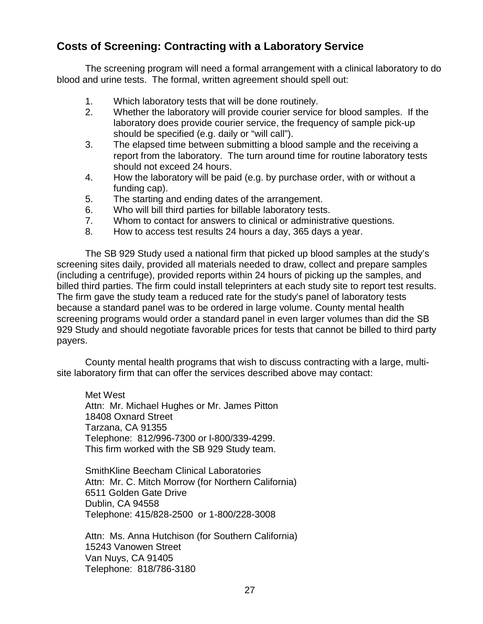## **Costs of Screening: Contracting with a Laboratory Service**

The screening program will need a formal arrangement with a clinical laboratory to do blood and urine tests. The formal, written agreement should spell out:

- 1. Which laboratory tests that will be done routinely.
- 2. Whether the laboratory will provide courier service for blood samples. If the laboratory does provide courier service, the frequency of sample pick-up should be specified (e.g. daily or "will call").
- 3. The elapsed time between submitting a blood sample and the receiving a report from the laboratory. The turn around time for routine laboratory tests should not exceed 24 hours.
- 4. How the laboratory will be paid (e.g. by purchase order, with or without a funding cap).
- 5. The starting and ending dates of the arrangement.
- 6. Who will bill third parties for billable laboratory tests.
- 7. Whom to contact for answers to clinical or administrative questions.
- 8. How to access test results 24 hours a day, 365 days a year.

The SB 929 Study used a national firm that picked up blood samples at the study's screening sites daily, provided all materials needed to draw, collect and prepare samples (including a centrifuge), provided reports within 24 hours of picking up the samples, and billed third parties. The firm could install teleprinters at each study site to report test results. The firm gave the study team a reduced rate for the study's panel of laboratory tests because a standard panel was to be ordered in large volume. County mental health screening programs would order a standard panel in even larger volumes than did the SB 929 Study and should negotiate favorable prices for tests that cannot be billed to third party payers.

County mental health programs that wish to discuss contracting with a large, multisite laboratory firm that can offer the services described above may contact:

Met West Attn: Mr. Michael Hughes or Mr. James Pitton 18408 Oxnard Street Tarzana, CA 91355 Telephone: 812/996-7300 or l-800/339-4299. This firm worked with the SB 929 Study team.

SmithKline Beecham Clinical Laboratories Attn: Mr. C. Mitch Morrow (for Northern California) 6511 Golden Gate Drive Dublin, CA 94558 Telephone: 415/828-2500 or 1-800/228-3008

Attn: Ms. Anna Hutchison (for Southern California) 15243 Vanowen Street Van Nuys, CA 91405 Telephone: 818/786-3180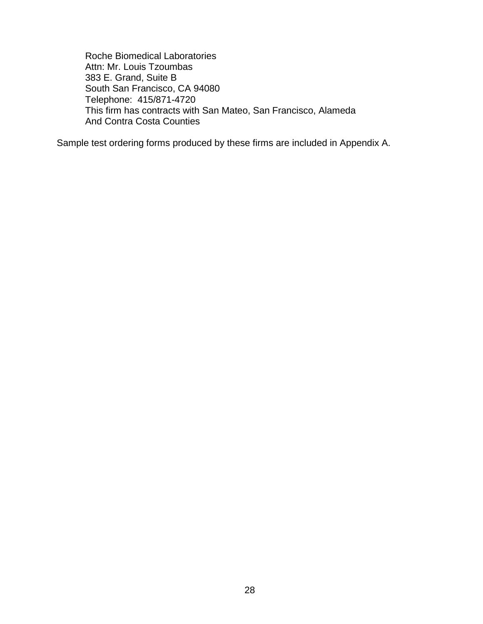Roche Biomedical Laboratories Attn: Mr. Louis Tzoumbas 383 E. Grand, Suite B South San Francisco, CA 94080 Telephone: 415/871-4720 This firm has contracts with San Mateo, San Francisco, Alameda And Contra Costa Counties

Sample test ordering forms produced by these firms are included in Appendix A.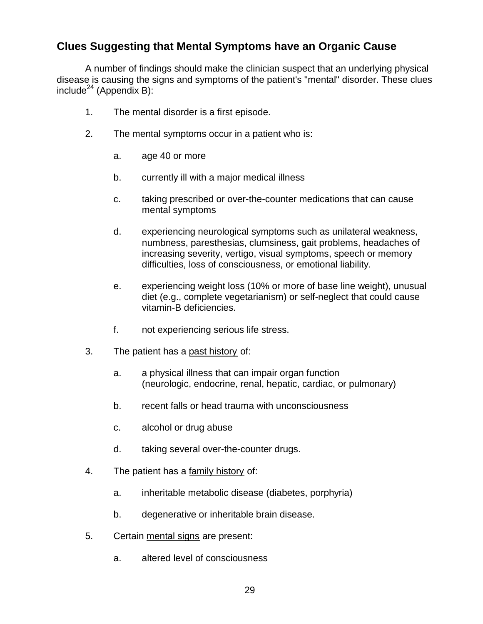## **Clues Suggesting that Mental Symptoms have an Organic Cause**

A number of findings should make the clinician suspect that an underlying physical disease is causing the signs and symptoms of the patient's "mental" disorder. These clues  $include^{24}$  (Appendix B):

- 1. The mental disorder is a first episode.
- 2. The mental symptoms occur in a patient who is:
	- a. age 40 or more
	- b. currently ill with a major medical illness
	- c. taking prescribed or over-the-counter medications that can cause mental symptoms
	- d. experiencing neurological symptoms such as unilateral weakness, numbness, paresthesias, clumsiness, gait problems, headaches of increasing severity, vertigo, visual symptoms, speech or memory difficulties, loss of consciousness, or emotional liability.
	- e. experiencing weight loss (10% or more of base line weight), unusual diet (e.g., complete vegetarianism) or self-neglect that could cause vitamin-B deficiencies.
	- f. not experiencing serious life stress.
- 3. The patient has a past history of:
	- a. a physical illness that can impair organ function (neurologic, endocrine, renal, hepatic, cardiac, or pulmonary)
	- b. recent falls or head trauma with unconsciousness
	- c. alcohol or drug abuse
	- d. taking several over-the-counter drugs.
- 4. The patient has a family history of:
	- a. inheritable metabolic disease (diabetes, porphyria)
	- b. degenerative or inheritable brain disease.
- 5. Certain mental signs are present:
	- a. altered level of consciousness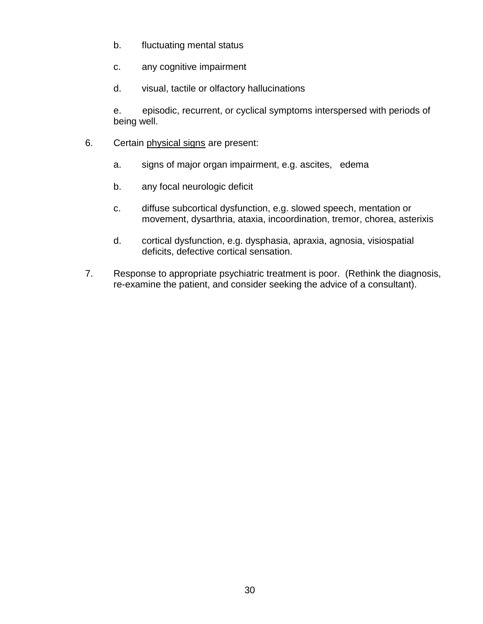- b. fluctuating mental status
- c. any cognitive impairment
- d. visual, tactile or olfactory hallucinations

e. episodic, recurrent, or cyclical symptoms interspersed with periods of being well.

- 6. Certain physical signs are present:
	- a. signs of major organ impairment, e.g. ascites, edema
	- b. any focal neurologic deficit
	- c. diffuse subcortical dysfunction, e.g. slowed speech, mentation or movement, dysarthria, ataxia, incoordination, tremor, chorea, asterixis
	- d. cortical dysfunction, e.g. dysphasia, apraxia, agnosia, visiospatial deficits, defective cortical sensation.
- 7. Response to appropriate psychiatric treatment is poor. (Rethink the diagnosis, re-examine the patient, and consider seeking the advice of a consultant).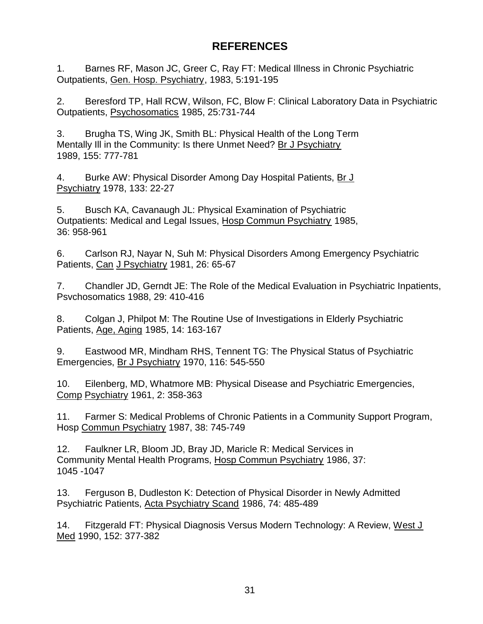## **REFERENCES**

1. Barnes RF, Mason JC, Greer C, Ray FT: Medical Illness in Chronic Psychiatric Outpatients, Gen. Hosp. Psychiatry, 1983, 5:191-195

2. Beresford TP, Hall RCW, Wilson, FC, Blow F: Clinical Laboratory Data in Psychiatric Outpatients, Psychosomatics 1985, 25:731-744

3. Brugha TS, Wing JK, Smith BL: Physical Health of the Long Term Mentally Ill in the Community: Is there Unmet Need? Br J Psychiatry 1989, 155: 777-781

4. Burke AW: Physical Disorder Among Day Hospital Patients, Br J Psychiatry 1978, 133: 22-27

5. Busch KA, Cavanaugh JL: Physical Examination of Psychiatric Outpatients: Medical and Legal Issues, Hosp Commun Psychiatry 1985, 36: 958-961

6. Carlson RJ, Nayar N, Suh M: Physical Disorders Among Emergency Psychiatric Patients, Can J Psychiatry 1981, 26: 65-67

7. Chandler JD, Gerndt JE: The Role of the Medical Evaluation in Psychiatric Inpatients, Psvchosomatics 1988, 29: 410-416

8. Colgan J, Philpot M: The Routine Use of Investigations in Elderly Psychiatric Patients, Age, Aging 1985, 14: 163-167

9. Eastwood MR, Mindham RHS, Tennent TG: The Physical Status of Psychiatric Emergencies, Br J Psychiatry 1970, 116: 545-550

10. Eilenberg, MD, Whatmore MB: Physical Disease and Psychiatric Emergencies, Comp Psychiatry 1961, 2: 358-363

11. Farmer S: Medical Problems of Chronic Patients in a Community Support Program, Hosp Commun Psychiatry 1987, 38: 745-749

12. Faulkner LR, Bloom JD, Bray JD, Maricle R: Medical Services in Community Mental Health Programs, Hosp Commun Psychiatry 1986, 37: 1045 -1047

13. Ferguson B, Dudleston K: Detection of Physical Disorder in Newly Admitted Psychiatric Patients, Acta Psychiatry Scand 1986, 74: 485-489

14. Fitzgerald FT: Physical Diagnosis Versus Modern Technology: A Review, West J Med 1990, 152: 377-382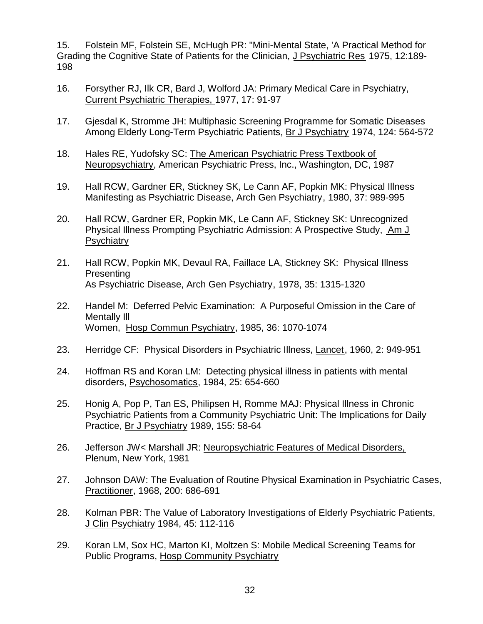15. Folstein MF, Folstein SE, McHugh PR: "Mini-Mental State, 'A Practical Method for Grading the Cognitive State of Patients for the Clinician, J Psychiatric Res 1975, 12:189- 198

- 16. Forsyther RJ, Ilk CR, Bard J, Wolford JA: Primary Medical Care in Psychiatry, Current Psychiatric Therapies, 1977, 17: 91-97
- 17. Gjesdal K, Stromme JH: Multiphasic Screening Programme for Somatic Diseases Among Elderly Long-Term Psychiatric Patients, Br J Psychiatry 1974, 124: 564-572
- 18. Hales RE, Yudofsky SC: The American Psychiatric Press Textbook of Neuropsychiatry, American Psychiatric Press, Inc., Washington, DC, 1987
- 19. Hall RCW, Gardner ER, Stickney SK, Le Cann AF, Popkin MK: Physical Illness Manifesting as Psychiatric Disease, Arch Gen Psychiatry, 1980, 37: 989-995
- 20. Hall RCW, Gardner ER, Popkin MK, Le Cann AF, Stickney SK: Unrecognized Physical Illness Prompting Psychiatric Admission: A Prospective Study, Am J **Psychiatry**
- 21. Hall RCW, Popkin MK, Devaul RA, Faillace LA, Stickney SK: Physical Illness **Presenting** As Psychiatric Disease, Arch Gen Psychiatry, 1978, 35: 1315-1320
- 22. Handel M: Deferred Pelvic Examination: A Purposeful Omission in the Care of Mentally III Women, Hosp Commun Psychiatry, 1985, 36: 1070-1074
- 23. Herridge CF: Physical Disorders in Psychiatric Illness, Lancet, 1960, 2: 949-951
- 24. Hoffman RS and Koran LM: Detecting physical illness in patients with mental disorders, Psychosomatics, 1984, 25: 654-660
- 25. Honig A, Pop P, Tan ES, Philipsen H, Romme MAJ: Physical Illness in Chronic Psychiatric Patients from a Community Psychiatric Unit: The Implications for Daily Practice, Br J Psychiatry 1989, 155: 58-64
- 26. Jefferson JW< Marshall JR: Neuropsychiatric Features of Medical Disorders, Plenum, New York, 1981
- 27. Johnson DAW: The Evaluation of Routine Physical Examination in Psychiatric Cases, Practitioner, 1968, 200: 686-691
- 28. Kolman PBR: The Value of Laboratory Investigations of Elderly Psychiatric Patients, J Clin Psychiatry 1984, 45: 112-116
- 29. Koran LM, Sox HC, Marton KI, Moltzen S: Mobile Medical Screening Teams for Public Programs, Hosp Community Psychiatry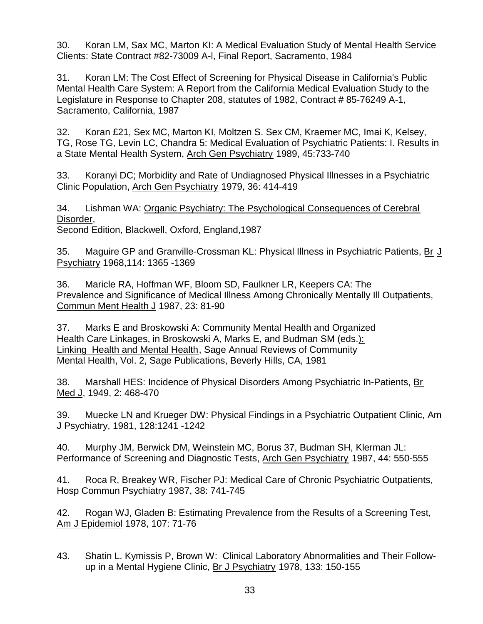30. Koran LM, Sax MC, Marton KI: A Medical Evaluation Study of Mental Health Service Clients: State Contract #82-73009 A-l, Final Report, Sacramento, 1984

31. Koran LM: The Cost Effect of Screening for Physical Disease in California's Public Mental Health Care System: A Report from the California Medical Evaluation Study to the Legislature in Response to Chapter 208, statutes of 1982, Contract # 85-76249 A-1, Sacramento, California, 1987

32. Koran £21, Sex MC, Marton KI, Moltzen S. Sex CM, Kraemer MC, Imai K, Kelsey, TG, Rose TG, Levin LC, Chandra 5: Medical Evaluation of Psychiatric Patients: I. Results in a State Mental Health System, Arch Gen Psychiatry 1989, 45:733-740

33. Koranyi DC; Morbidity and Rate of Undiagnosed Physical Illnesses in a Psychiatric Clinic Population, Arch Gen Psychiatry 1979, 36: 414-419

34. Lishman WA: Organic Psychiatry: The Psychological Consequences of Cerebral Disorder, Second Edition, Blackwell, Oxford, England,1987

35. Maguire GP and Granville-Crossman KL: Physical Illness in Psychiatric Patients, Br J Psychiatry 1968,114: 1365 -1369

36. Maricle RA, Hoffman WF, Bloom SD, Faulkner LR, Keepers CA: The Prevalence and Significance of Medical Illness Among Chronically Mentally Ill Outpatients, Commun Ment Health J 1987, 23: 81-90

37. Marks E and Broskowski A: Community Mental Health and Organized Health Care Linkages, in Broskowski A, Marks E, and Budman SM (eds.): Linking Health and Mental Health, Sage Annual Reviews of Community Mental Health, Vol. 2, Sage Publications, Beverly Hills, CA, 1981

38. Marshall HES: Incidence of Physical Disorders Among Psychiatric In-Patients, Br Med J, 1949, 2: 468-470

39. Muecke LN and Krueger DW: Physical Findings in a Psychiatric Outpatient Clinic, Am J Psychiatry, 1981, 128:1241 -1242

40. Murphy JM, Berwick DM, Weinstein MC, Borus 37, Budman SH, Klerman JL: Performance of Screening and Diagnostic Tests, Arch Gen Psychiatry 1987, 44: 550-555

41. Roca R, Breakey WR, Fischer PJ: Medical Care of Chronic Psychiatric Outpatients, Hosp Commun Psychiatry 1987, 38: 741-745

42. Rogan WJ, Gladen B: Estimating Prevalence from the Results of a Screening Test, Am J Epidemiol 1978, 107: 71-76

43. Shatin L. Kymissis P, Brown W: Clinical Laboratory Abnormalities and Their Followup in a Mental Hygiene Clinic, Br J Psychiatry 1978, 133: 150-155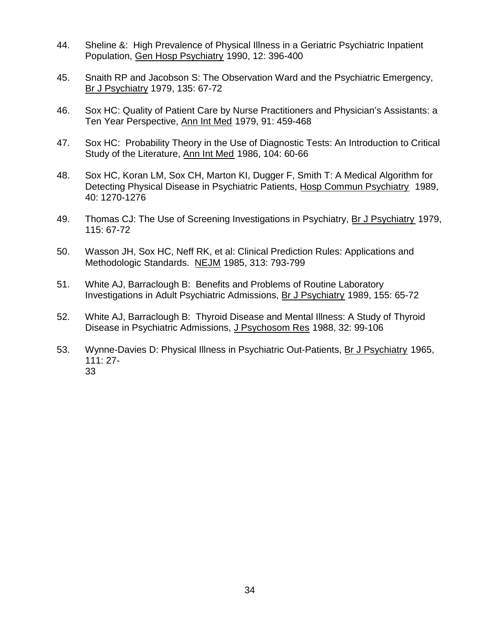- 44. Sheline &: High Prevalence of Physical Illness in a Geriatric Psychiatric Inpatient Population, Gen Hosp Psychiatry 1990, 12: 396-400
- 45. Snaith RP and Jacobson S: The Observation Ward and the Psychiatric Emergency, Br J Psychiatry 1979, 135: 67-72
- 46. Sox HC: Quality of Patient Care by Nurse Practitioners and Physician's Assistants: a Ten Year Perspective, Ann Int Med 1979, 91: 459-468
- 47. Sox HC: Probability Theory in the Use of Diagnostic Tests: An Introduction to Critical Study of the Literature, Ann Int Med 1986, 104: 60-66
- 48. Sox HC, Koran LM, Sox CH, Marton KI, Dugger F, Smith T: A Medical Algorithm for Detecting Physical Disease in Psychiatric Patients, Hosp Commun Psychiatry 1989, 40: 1270-1276
- 49. Thomas CJ: The Use of Screening Investigations in Psychiatry, Br J Psychiatry 1979, 115: 67-72
- 50. Wasson JH, Sox HC, Neff RK, et al: Clinical Prediction Rules: Applications and Methodologic Standards. NEJM 1985, 313: 793-799
- 51. White AJ, Barraclough B: Benefits and Problems of Routine Laboratory Investigations in Adult Psychiatric Admissions, Br J Psychiatry 1989, 155: 65-72
- 52. White AJ, Barraclough B: Thyroid Disease and Mental Illness: A Study of Thyroid Disease in Psychiatric Admissions, J Psychosom Res 1988, 32: 99-106
- 53. Wynne-Davies D: Physical Illness in Psychiatric Out-Patients, Br J Psychiatry 1965, 111: 27- 33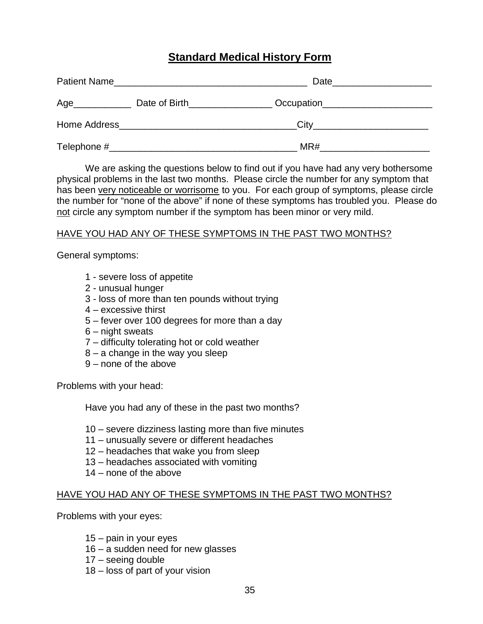## **Standard Medical History Form**

| Patient Name |                                                                                                                                                                                                                                | Date                                              |
|--------------|--------------------------------------------------------------------------------------------------------------------------------------------------------------------------------------------------------------------------------|---------------------------------------------------|
| Age          | Date of Birth <b>Exercise 2008</b>                                                                                                                                                                                             | Occupation <b>CONSUMING THE CONSUMING TENSION</b> |
|              | Home Address Management and the Management of the Management of the Management of the Management of the Management of the Management of the Management of the Management of the Management of the Management of the Management | City                                              |
| Telephone #  |                                                                                                                                                                                                                                | MR#                                               |

We are asking the questions below to find out if you have had any very bothersome physical problems in the last two months. Please circle the number for any symptom that has been very noticeable or worrisome to you. For each group of symptoms, please circle the number for "none of the above" if none of these symptoms has troubled you. Please do not circle any symptom number if the symptom has been minor or very mild.

#### HAVE YOU HAD ANY OF THESE SYMPTOMS IN THE PAST TWO MONTHS?

General symptoms:

- 1 severe loss of appetite
- 2 unusual hunger
- 3 loss of more than ten pounds without trying
- 4 excessive thirst
- 5 fever over 100 degrees for more than a day
- 6 night sweats
- 7 difficulty tolerating hot or cold weather
- 8 a change in the way you sleep
- 9 none of the above

Problems with your head:

Have you had any of these in the past two months?

- 10 severe dizziness lasting more than five minutes
- 11 unusually severe or different headaches
- 12 headaches that wake you from sleep
- 13 headaches associated with vomiting
- 14 none of the above

#### HAVE YOU HAD ANY OF THESE SYMPTOMS IN THE PAST TWO MONTHS?

Problems with your eyes:

- 15 pain in your eyes
- 16 a sudden need for new glasses
- 17 seeing double
- 18 loss of part of your vision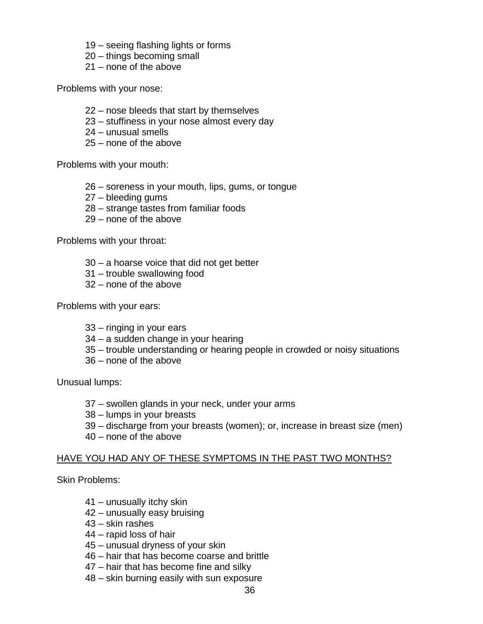- 19 seeing flashing lights or forms
- 20 things becoming small
- 21 none of the above

Problems with your nose:

- 22 nose bleeds that start by themselves
- 23 stuffiness in your nose almost every day
- 24 unusual smells
- 25 none of the above

Problems with your mouth:

- 26 soreness in your mouth, lips, gums, or tongue
- 27 bleeding gums
- 28 strange tastes from familiar foods
- 29 none of the above

Problems with your throat:

- 30 a hoarse voice that did not get better
- 31 trouble swallowing food
- 32 none of the above

Problems with your ears:

- 33 ringing in your ears
- 34 a sudden change in your hearing
- 35 trouble understanding or hearing people in crowded or noisy situations
- 36 none of the above

Unusual lumps:

- 37 swollen glands in your neck, under your arms
- 38 lumps in your breasts
- 39 discharge from your breasts (women); or, increase in breast size (men)
- 40 none of the above

#### HAVE YOU HAD ANY OF THESE SYMPTOMS IN THE PAST TWO MONTHS?

Skin Problems:

- 41 unusually itchy skin
- 42 unusually easy bruising
- 43 skin rashes
- 44 rapid loss of hair
- 45 unusual dryness of your skin
- 46 hair that has become coarse and brittle
- 47 hair that has become fine and silky
- 48 skin burning easily with sun exposure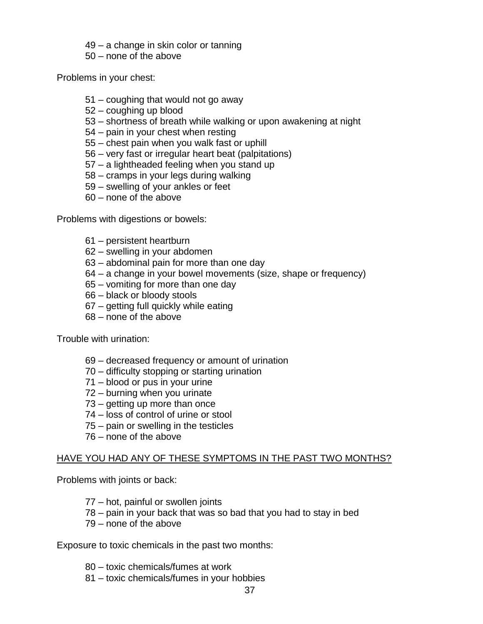49 – a change in skin color or tanning

50 – none of the above

Problems in your chest:

- 51 coughing that would not go away
- 52 coughing up blood
- 53 shortness of breath while walking or upon awakening at night
- 54 pain in your chest when resting
- 55 chest pain when you walk fast or uphill
- 56 very fast or irregular heart beat (palpitations)
- 57 a lightheaded feeling when you stand up
- 58 cramps in your legs during walking
- 59 swelling of your ankles or feet
- 60 none of the above

Problems with digestions or bowels:

- 61 persistent heartburn
- 62 swelling in your abdomen
- 63 abdominal pain for more than one day
- 64 a change in your bowel movements (size, shape or frequency)
- 65 vomiting for more than one day
- 66 black or bloody stools
- 67 getting full quickly while eating
- 68 none of the above

Trouble with urination:

- 69 decreased frequency or amount of urination
- 70 difficulty stopping or starting urination
- 71 blood or pus in your urine
- 72 burning when you urinate
- 73 getting up more than once
- 74 loss of control of urine or stool
- 75 pain or swelling in the testicles
- 76 none of the above

#### HAVE YOU HAD ANY OF THESE SYMPTOMS IN THE PAST TWO MONTHS?

Problems with joints or back:

- 77 hot, painful or swollen joints
- 78 pain in your back that was so bad that you had to stay in bed
- 79 none of the above

Exposure to toxic chemicals in the past two months:

- 80 toxic chemicals/fumes at work
- 81 toxic chemicals/fumes in your hobbies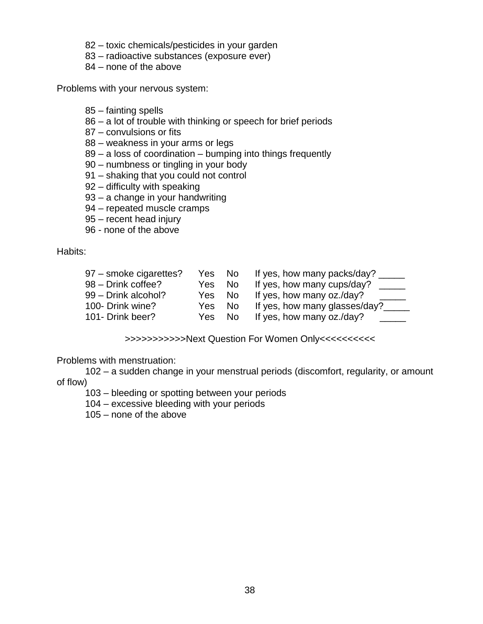- 82 toxic chemicals/pesticides in your garden
- 83 radioactive substances (exposure ever)
- 84 none of the above

Problems with your nervous system:

- 85 fainting spells
- 86 a lot of trouble with thinking or speech for brief periods
- 87 convulsions or fits
- 88 weakness in your arms or legs
- 89 a loss of coordination bumping into things frequently
- 90 numbness or tingling in your body
- 91 shaking that you could not control
- 92 difficulty with speaking
- 93 a change in your handwriting
- 94 repeated muscle cramps
- 95 recent head injury
- 96 none of the above

Habits:

| 97 – smoke cigarettes? | Yes No | If yes, how many packs/day? __ |
|------------------------|--------|--------------------------------|
| 98 - Drink coffee?     | Yes No | If yes, how many cups/day?     |
| 99 - Drink alcohol?    | Yes No | If yes, how many oz./day?      |
| 100- Drink wine?       | Yes No | If yes, how many glasses/day?  |
| 101- Drink beer?       | Yes No | If yes, how many oz./day?      |

>>>>>>>>>>>Next Question For Women Only<<<<<<<<<<

Problems with menstruation:

102 – a sudden change in your menstrual periods (discomfort, regularity, or amount of flow)

103 – bleeding or spotting between your periods

104 – excessive bleeding with your periods

105 – none of the above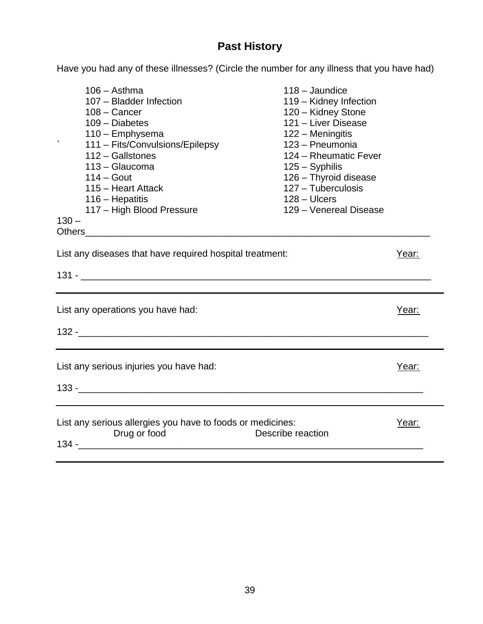## **Past History**

Have you had any of these illnesses? (Circle the number for any illness that you have had)

| $106 -$ Asthma<br>107 - Bladder Infection<br>$108 -$ Cancer<br>109 - Diabetes<br>110 - Emphysema<br>111 - Fits/Convulsions/Epilepsy<br>112 - Gallstones<br>113 - Glaucoma<br>$114 - Gout$<br>115 - Heart Attack<br>116 – Hepatitis<br>117 - High Blood Pressure<br>$130 -$ | $118 -$ Jaundice<br>119 - Kidney Infection<br>120 - Kidney Stone<br>121 - Liver Disease<br>122 - Meningitis<br>123 - Pneumonia<br>124 - Rheumatic Fever<br>$125 -$ Syphilis<br>126 - Thyroid disease<br>127 - Tuberculosis<br>$128 - Ulcers$<br>129 - Venereal Disease |       |  |
|----------------------------------------------------------------------------------------------------------------------------------------------------------------------------------------------------------------------------------------------------------------------------|------------------------------------------------------------------------------------------------------------------------------------------------------------------------------------------------------------------------------------------------------------------------|-------|--|
| Year:                                                                                                                                                                                                                                                                      |                                                                                                                                                                                                                                                                        |       |  |
| List any diseases that have required hospital treatment:                                                                                                                                                                                                                   |                                                                                                                                                                                                                                                                        |       |  |
|                                                                                                                                                                                                                                                                            |                                                                                                                                                                                                                                                                        |       |  |
| List any operations you have had:                                                                                                                                                                                                                                          |                                                                                                                                                                                                                                                                        | Year: |  |
|                                                                                                                                                                                                                                                                            |                                                                                                                                                                                                                                                                        |       |  |
| List any serious injuries you have had:                                                                                                                                                                                                                                    |                                                                                                                                                                                                                                                                        | Year: |  |
| 133 - 200 - 200 - 200 - 200 - 200 - 200 - 200 - 200 - 200 - 200 - 200 - 200 - 200 - 200 - 200 - 200 - 200 - 20                                                                                                                                                             |                                                                                                                                                                                                                                                                        |       |  |
|                                                                                                                                                                                                                                                                            |                                                                                                                                                                                                                                                                        |       |  |
| List any serious allergies you have to foods or medicines:<br>Drug or food                                                                                                                                                                                                 | Describe reaction                                                                                                                                                                                                                                                      | Year: |  |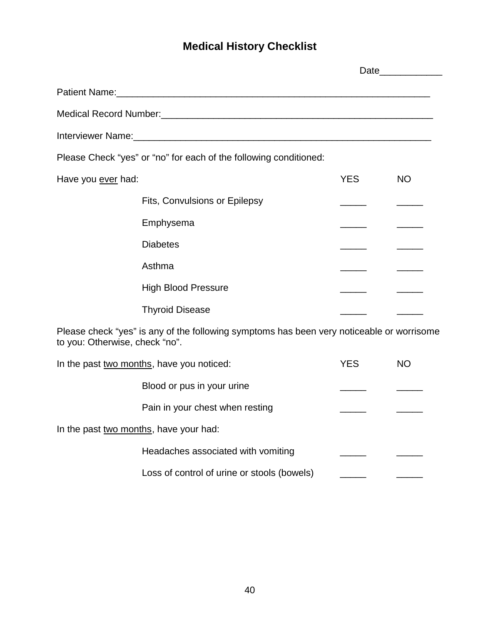## **Medical History Checklist**

|                                                                                                                             |                                                                   |            | Date_____________ |
|-----------------------------------------------------------------------------------------------------------------------------|-------------------------------------------------------------------|------------|-------------------|
|                                                                                                                             |                                                                   |            |                   |
|                                                                                                                             |                                                                   |            |                   |
|                                                                                                                             |                                                                   |            |                   |
|                                                                                                                             | Please Check "yes" or "no" for each of the following conditioned: |            |                   |
| Have you ever had:                                                                                                          |                                                                   | <b>YES</b> | <b>NO</b>         |
|                                                                                                                             | Fits, Convulsions or Epilepsy                                     |            |                   |
|                                                                                                                             | Emphysema                                                         |            |                   |
|                                                                                                                             | <b>Diabetes</b>                                                   |            |                   |
|                                                                                                                             | Asthma                                                            |            |                   |
|                                                                                                                             | <b>High Blood Pressure</b>                                        |            |                   |
|                                                                                                                             | <b>Thyroid Disease</b>                                            |            |                   |
| Please check "yes" is any of the following symptoms has been very noticeable or worrisome<br>to you: Otherwise, check "no". |                                                                   |            |                   |
|                                                                                                                             | In the past two months, have you noticed:                         | <b>YES</b> | <b>NO</b>         |
|                                                                                                                             | Blood or pus in your urine                                        |            |                   |
|                                                                                                                             | Pain in your chest when resting                                   |            |                   |
| In the past two months, have your had:                                                                                      |                                                                   |            |                   |
|                                                                                                                             | Headaches associated with vomiting                                |            |                   |
|                                                                                                                             | Loss of control of urine or stools (bowels)                       |            |                   |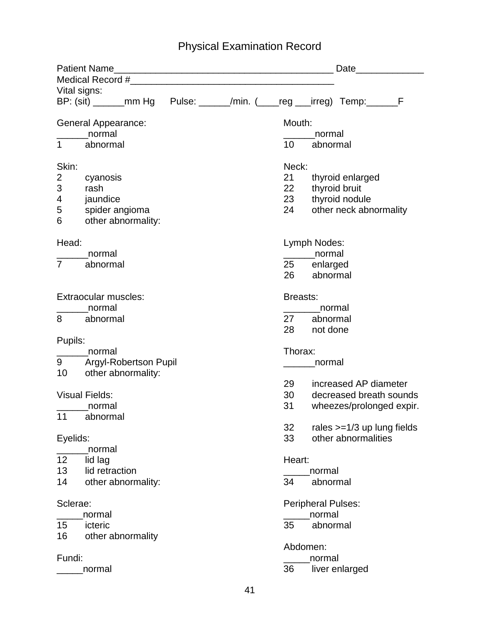## Physical Examination Record

| Date______________     |                               |                           |          |  |                 |                                                                       |  |  |
|------------------------|-------------------------------|---------------------------|----------|--|-----------------|-----------------------------------------------------------------------|--|--|
| Vital signs:           |                               |                           |          |  |                 |                                                                       |  |  |
|                        |                               |                           |          |  |                 | BP: (sit) ______mm Hg Pulse: _____/min. (___reg __irreg) Temp: _____F |  |  |
|                        | General Appearance:<br>normal |                           |          |  |                 | Mouth:<br>normal                                                      |  |  |
| $1 \quad \blacksquare$ | abnormal                      |                           |          |  | 10 <sup>°</sup> | abnormal                                                              |  |  |
| Skin:                  |                               |                           |          |  | Neck:           |                                                                       |  |  |
| $\overline{2}$         | cyanosis                      |                           |          |  | 21              | thyroid enlarged                                                      |  |  |
| 3<br>4                 | rash                          |                           |          |  | 22<br>23        | thyroid bruit                                                         |  |  |
| 5                      | jaundice<br>spider angioma    |                           |          |  | 24              | thyroid nodule<br>other neck abnormality                              |  |  |
| 6                      | other abnormality:            |                           |          |  |                 |                                                                       |  |  |
| Head:                  |                               |                           |          |  |                 | Lymph Nodes:                                                          |  |  |
| $\overline{7}$         | normal                        |                           |          |  |                 | normal                                                                |  |  |
|                        | abnormal                      |                           |          |  | 26              | 25 enlarged<br>abnormal                                               |  |  |
|                        |                               |                           |          |  |                 |                                                                       |  |  |
|                        | Extraocular muscles:          |                           |          |  | <b>Breasts:</b> |                                                                       |  |  |
|                        | normal                        |                           |          |  |                 | normal                                                                |  |  |
| 8                      | abnormal                      |                           |          |  | 27<br>28        | abnormal<br>not done                                                  |  |  |
| Pupils:                |                               |                           |          |  |                 |                                                                       |  |  |
|                        | normal                        |                           |          |  | Thorax:         |                                                                       |  |  |
|                        |                               | 9 Argyl-Robertson Pupil   |          |  |                 | normal                                                                |  |  |
| 10                     | other abnormality:            |                           |          |  |                 |                                                                       |  |  |
|                        |                               |                           |          |  | 29              | increased AP diameter                                                 |  |  |
|                        | <b>Visual Fields:</b>         |                           |          |  | 30              | decreased breath sounds                                               |  |  |
|                        | normal                        |                           |          |  | 31              | wheezes/prolonged expir.                                              |  |  |
| 11                     | abnormal                      |                           |          |  |                 |                                                                       |  |  |
|                        |                               |                           |          |  | 32              | rales $>=1/3$ up lung fields                                          |  |  |
| Eyelids:               |                               |                           |          |  | 33              | other abnormalities                                                   |  |  |
| 12                     | normal                        |                           |          |  | Heart:          |                                                                       |  |  |
| 13                     | lid lag<br>lid retraction     |                           |          |  |                 | normal                                                                |  |  |
| 14                     | other abnormality:            |                           |          |  | 34              | abnormal                                                              |  |  |
| Sclerae:               |                               | <b>Peripheral Pulses:</b> |          |  |                 |                                                                       |  |  |
|                        | normal                        |                           |          |  |                 | normal                                                                |  |  |
| 15                     | icteric                       |                           |          |  | 35              | abnormal                                                              |  |  |
| 16                     | other abnormality             |                           |          |  |                 |                                                                       |  |  |
|                        |                               |                           | Abdomen: |  |                 |                                                                       |  |  |
| Fundi:                 | normal                        |                           |          |  | 36              | normal<br>liver enlarged                                              |  |  |
|                        |                               |                           |          |  |                 |                                                                       |  |  |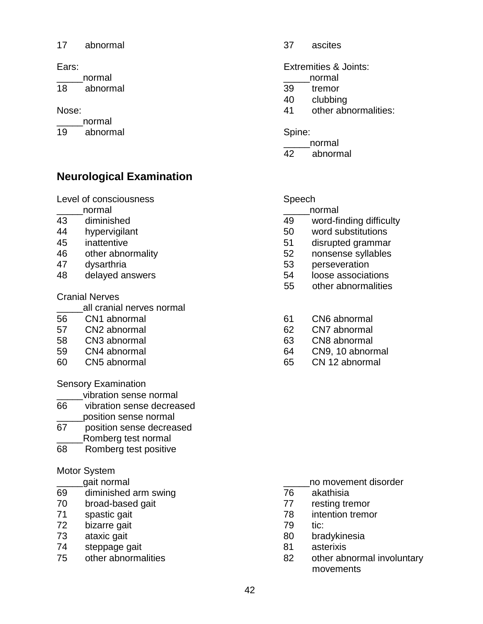#### 17 abnormal 37 ascites

18 abnormal 39 tremor

\_\_\_\_\_normal

19 abnormal Spine:

## **Neurological Examination**

Level of consciousness Speech

- \_\_\_\_\_normal \_\_\_\_\_normal
- 
- 
- 
- 
- 
- 

## Cranial Nerves

all cranial nerves normal

- 
- 
- 
- 
- 

Sensory Examination

- \_\_\_\_\_vibration sense normal
- 66 vibration sense decreased \_\_\_\_\_position sense normal
- 67 position sense decreased \_\_\_\_\_Romberg test normal
- 68 Romberg test positive

## Motor System

- 
- 69 diminished arm swing 76 akathisia
- 
- 
- 72 bizarre gait 79 tic:
- 
- 74 steppage gait 81 asterixis
- 

Ears: Extremities & Joints:

- \_\_\_\_\_normal \_\_\_\_\_normal
	-
	- 40 clubbing
- Nose: 41 other abnormalities:

\_\_\_\_\_normal

42 abnormal

- 
- 43 diminished 49 word-finding difficulty
- 44 hypervigilant 50 word substitutions
- 45 inattentive 51 disrupted grammar
- 46 other abnormality 52 nonsense syllables
- 47 dysarthria 53 perseveration
- 48 delayed answers 54 loose associations
	- 55 other abnormalities
- 56 CN1 abnormal 61 CN6 abnormal
- 57 CN2 abnormal 62 CN7 abnormal
- 58 CN3 abnormal 63 CN8 abnormal
- 59 CN4 abnormal 64 CN9, 10 abnormal
- 60 CN5 abnormal 65 CN 12 abnormal

- quati normal quation of the state of the state of the state of the state of the state of the state of the state of the state of the state of the state of the state of the state of the state of the state of the state of the
	-
- 70 broad-based gait 77 resting tremor
- 71 spastic gait 78 intention tremor
	-
- 73 ataxic gait 80 bradykinesia
	-
- 75 other abnormalities 82 other abnormal involuntary movements